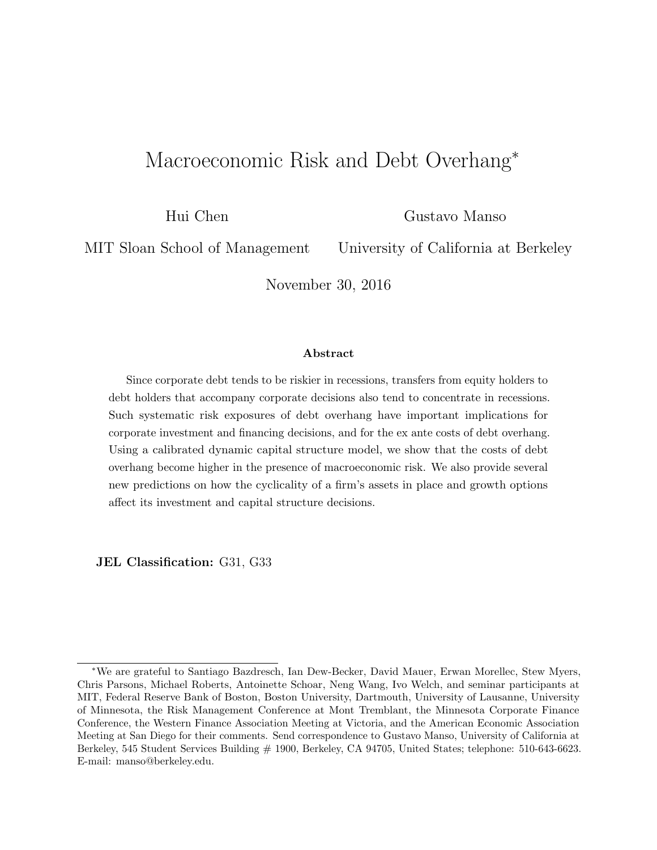# Macroeconomic Risk and Debt Overhang<sup>∗</sup>

Hui Chen

Gustavo Manso

MIT Sloan School of Management

University of California at Berkeley

November 30, 2016

### Abstract

Since corporate debt tends to be riskier in recessions, transfers from equity holders to debt holders that accompany corporate decisions also tend to concentrate in recessions. Such systematic risk exposures of debt overhang have important implications for corporate investment and financing decisions, and for the ex ante costs of debt overhang. Using a calibrated dynamic capital structure model, we show that the costs of debt overhang become higher in the presence of macroeconomic risk. We also provide several new predictions on how the cyclicality of a firm's assets in place and growth options affect its investment and capital structure decisions.

JEL Classification: G31, G33

<sup>∗</sup>We are grateful to Santiago Bazdresch, Ian Dew-Becker, David Mauer, Erwan Morellec, Stew Myers, Chris Parsons, Michael Roberts, Antoinette Schoar, Neng Wang, Ivo Welch, and seminar participants at MIT, Federal Reserve Bank of Boston, Boston University, Dartmouth, University of Lausanne, University of Minnesota, the Risk Management Conference at Mont Tremblant, the Minnesota Corporate Finance Conference, the Western Finance Association Meeting at Victoria, and the American Economic Association Meeting at San Diego for their comments. Send correspondence to Gustavo Manso, University of California at Berkeley, 545 Student Services Building # 1900, Berkeley, CA 94705, United States; telephone: 510-643-6623. E-mail: manso@berkeley.edu.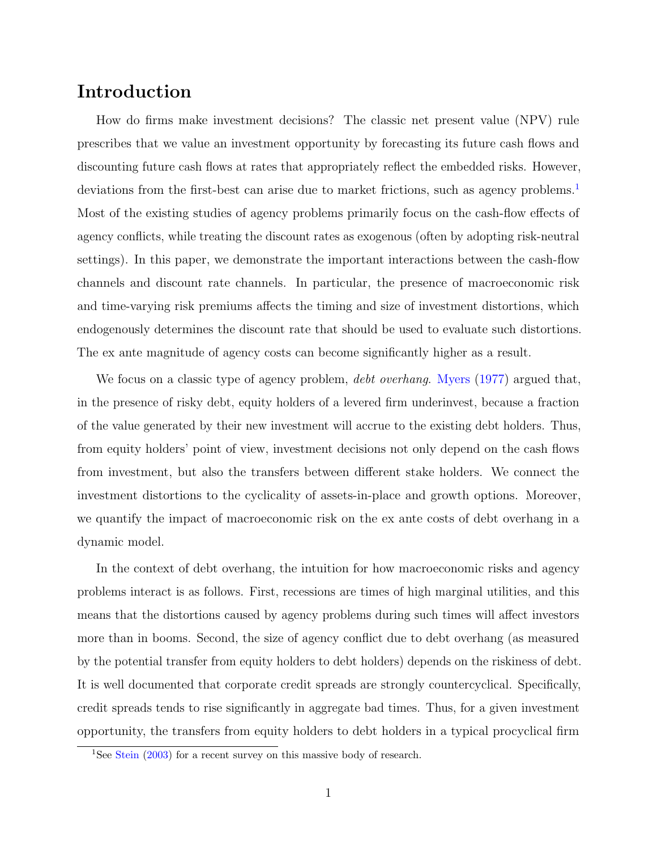## Introduction

How do firms make investment decisions? The classic net present value (NPV) rule prescribes that we value an investment opportunity by forecasting its future cash flows and discounting future cash flows at rates that appropriately reflect the embedded risks. However, deviations from the first-best can arise due to market frictions, such as agency problems.<sup>[1](#page-1-0)</sup> Most of the existing studies of agency problems primarily focus on the cash-flow effects of agency conflicts, while treating the discount rates as exogenous (often by adopting risk-neutral settings). In this paper, we demonstrate the important interactions between the cash-flow channels and discount rate channels. In particular, the presence of macroeconomic risk and time-varying risk premiums affects the timing and size of investment distortions, which endogenously determines the discount rate that should be used to evaluate such distortions. The ex ante magnitude of agency costs can become significantly higher as a result.

We focus on a classic type of agency problem, *debt overhang*. [Myers](#page-47-0) [\(1977\)](#page-47-0) argued that, in the presence of risky debt, equity holders of a levered firm underinvest, because a fraction of the value generated by their new investment will accrue to the existing debt holders. Thus, from equity holders' point of view, investment decisions not only depend on the cash flows from investment, but also the transfers between different stake holders. We connect the investment distortions to the cyclicality of assets-in-place and growth options. Moreover, we quantify the impact of macroeconomic risk on the ex ante costs of debt overhang in a dynamic model.

In the context of debt overhang, the intuition for how macroeconomic risks and agency problems interact is as follows. First, recessions are times of high marginal utilities, and this means that the distortions caused by agency problems during such times will affect investors more than in booms. Second, the size of agency conflict due to debt overhang (as measured by the potential transfer from equity holders to debt holders) depends on the riskiness of debt. It is well documented that corporate credit spreads are strongly countercyclical. Specifically, credit spreads tends to rise significantly in aggregate bad times. Thus, for a given investment opportunity, the transfers from equity holders to debt holders in a typical procyclical firm

<span id="page-1-0"></span><sup>&</sup>lt;sup>1</sup>See [Stein](#page-48-0) [\(2003\)](#page-48-0) for a recent survey on this massive body of research.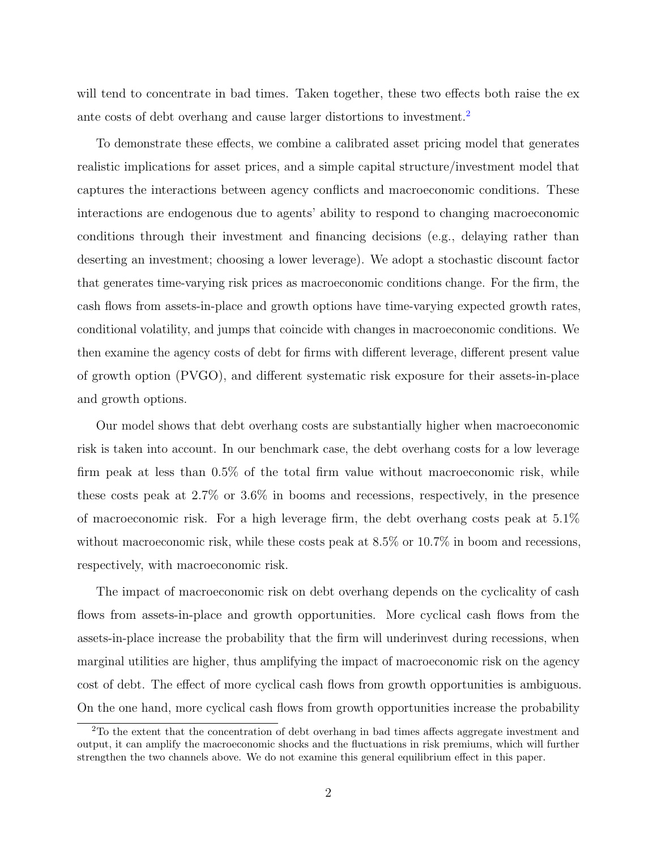will tend to concentrate in bad times. Taken together, these two effects both raise the ex ante costs of debt overhang and cause larger distortions to investment.[2](#page-2-0)

To demonstrate these effects, we combine a calibrated asset pricing model that generates realistic implications for asset prices, and a simple capital structure/investment model that captures the interactions between agency conflicts and macroeconomic conditions. These interactions are endogenous due to agents' ability to respond to changing macroeconomic conditions through their investment and financing decisions (e.g., delaying rather than deserting an investment; choosing a lower leverage). We adopt a stochastic discount factor that generates time-varying risk prices as macroeconomic conditions change. For the firm, the cash flows from assets-in-place and growth options have time-varying expected growth rates, conditional volatility, and jumps that coincide with changes in macroeconomic conditions. We then examine the agency costs of debt for firms with different leverage, different present value of growth option (PVGO), and different systematic risk exposure for their assets-in-place and growth options.

Our model shows that debt overhang costs are substantially higher when macroeconomic risk is taken into account. In our benchmark case, the debt overhang costs for a low leverage firm peak at less than 0.5% of the total firm value without macroeconomic risk, while these costs peak at 2.7% or 3.6% in booms and recessions, respectively, in the presence of macroeconomic risk. For a high leverage firm, the debt overhang costs peak at 5.1% without macroeconomic risk, while these costs peak at 8.5% or 10.7% in boom and recessions, respectively, with macroeconomic risk.

The impact of macroeconomic risk on debt overhang depends on the cyclicality of cash flows from assets-in-place and growth opportunities. More cyclical cash flows from the assets-in-place increase the probability that the firm will underinvest during recessions, when marginal utilities are higher, thus amplifying the impact of macroeconomic risk on the agency cost of debt. The effect of more cyclical cash flows from growth opportunities is ambiguous. On the one hand, more cyclical cash flows from growth opportunities increase the probability

<span id="page-2-0"></span> $2^2$ To the extent that the concentration of debt overhang in bad times affects aggregate investment and output, it can amplify the macroeconomic shocks and the fluctuations in risk premiums, which will further strengthen the two channels above. We do not examine this general equilibrium effect in this paper.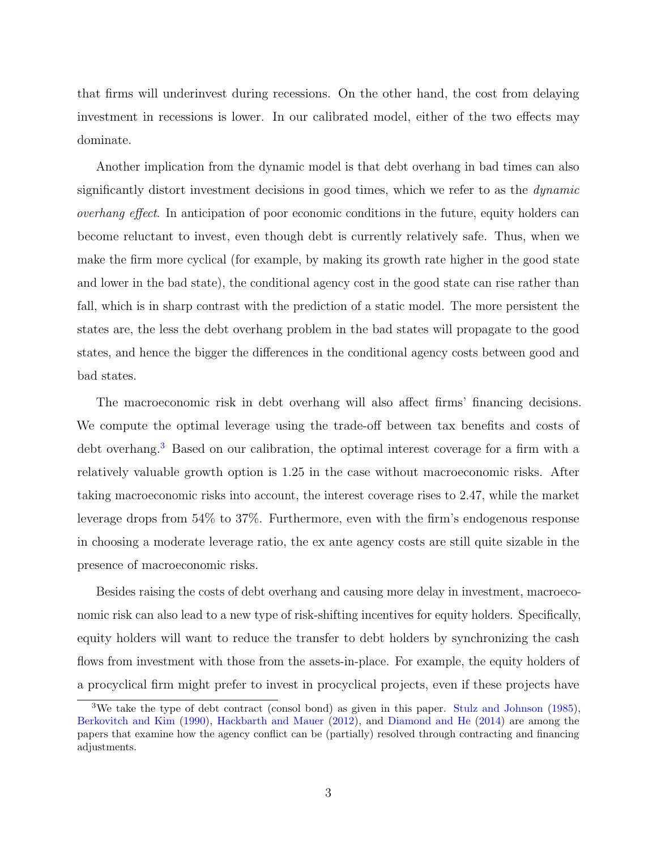that firms will underinvest during recessions. On the other hand, the cost from delaying investment in recessions is lower. In our calibrated model, either of the two effects may dominate.

Another implication from the dynamic model is that debt overhang in bad times can also significantly distort investment decisions in good times, which we refer to as the dynamic overhang effect. In anticipation of poor economic conditions in the future, equity holders can become reluctant to invest, even though debt is currently relatively safe. Thus, when we make the firm more cyclical (for example, by making its growth rate higher in the good state and lower in the bad state), the conditional agency cost in the good state can rise rather than fall, which is in sharp contrast with the prediction of a static model. The more persistent the states are, the less the debt overhang problem in the bad states will propagate to the good states, and hence the bigger the differences in the conditional agency costs between good and bad states.

The macroeconomic risk in debt overhang will also affect firms' financing decisions. We compute the optimal leverage using the trade-off between tax benefits and costs of debt overhang.[3](#page-3-0) Based on our calibration, the optimal interest coverage for a firm with a relatively valuable growth option is 1.25 in the case without macroeconomic risks. After taking macroeconomic risks into account, the interest coverage rises to 2.47, while the market leverage drops from 54% to 37%. Furthermore, even with the firm's endogenous response in choosing a moderate leverage ratio, the ex ante agency costs are still quite sizable in the presence of macroeconomic risks.

Besides raising the costs of debt overhang and causing more delay in investment, macroeconomic risk can also lead to a new type of risk-shifting incentives for equity holders. Specifically, equity holders will want to reduce the transfer to debt holders by synchronizing the cash flows from investment with those from the assets-in-place. For example, the equity holders of a procyclical firm might prefer to invest in procyclical projects, even if these projects have

<span id="page-3-0"></span><sup>3</sup>We take the type of debt contract (consol bond) as given in this paper. [Stulz and Johnson](#page-48-1) [\(1985\)](#page-48-1), [Berkovitch and Kim](#page-44-0) [\(1990\)](#page-44-0), [Hackbarth and Mauer](#page-46-0) [\(2012\)](#page-46-0), and [Diamond and He](#page-45-0) [\(2014\)](#page-45-0) are among the papers that examine how the agency conflict can be (partially) resolved through contracting and financing adjustments.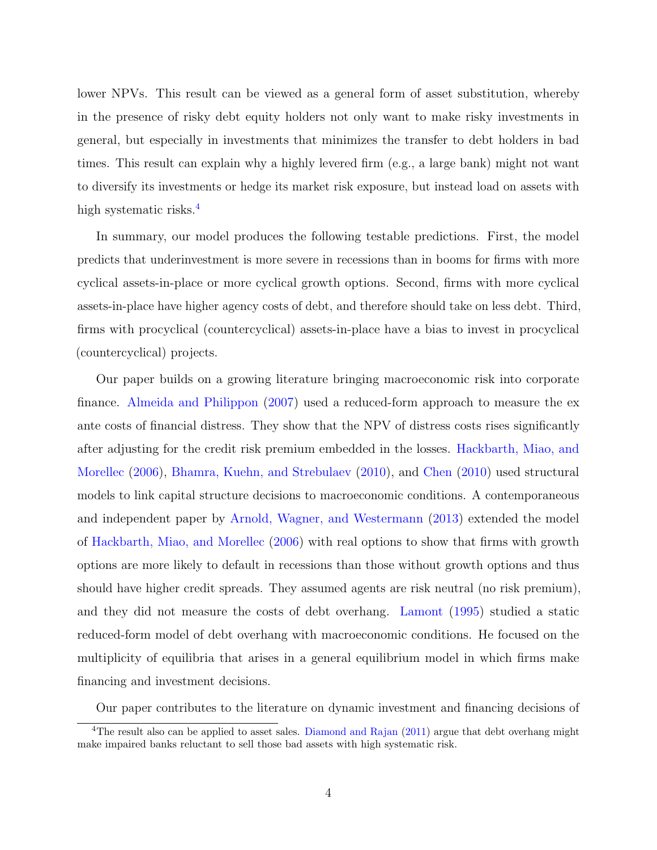lower NPVs. This result can be viewed as a general form of asset substitution, whereby in the presence of risky debt equity holders not only want to make risky investments in general, but especially in investments that minimizes the transfer to debt holders in bad times. This result can explain why a highly levered firm (e.g., a large bank) might not want to diversify its investments or hedge its market risk exposure, but instead load on assets with high systematic risks.<sup>[4](#page-4-0)</sup>

In summary, our model produces the following testable predictions. First, the model predicts that underinvestment is more severe in recessions than in booms for firms with more cyclical assets-in-place or more cyclical growth options. Second, firms with more cyclical assets-in-place have higher agency costs of debt, and therefore should take on less debt. Third, firms with procyclical (countercyclical) assets-in-place have a bias to invest in procyclical (countercyclical) projects.

Our paper builds on a growing literature bringing macroeconomic risk into corporate finance. [Almeida and Philippon](#page-44-1) [\(2007\)](#page-44-1) used a reduced-form approach to measure the ex ante costs of financial distress. They show that the NPV of distress costs rises significantly after adjusting for the credit risk premium embedded in the losses. [Hackbarth, Miao, and](#page-46-1) [Morellec](#page-46-1) [\(2006\)](#page-46-1), [Bhamra, Kuehn, and Strebulaev](#page-44-2) [\(2010\)](#page-44-2), and [Chen](#page-44-3) [\(2010\)](#page-44-3) used structural models to link capital structure decisions to macroeconomic conditions. A contemporaneous and independent paper by [Arnold, Wagner, and Westermann](#page-44-4) [\(2013\)](#page-44-4) extended the model of [Hackbarth, Miao, and Morellec](#page-46-1) [\(2006\)](#page-46-1) with real options to show that firms with growth options are more likely to default in recessions than those without growth options and thus should have higher credit spreads. They assumed agents are risk neutral (no risk premium), and they did not measure the costs of debt overhang. [Lamont](#page-46-2) [\(1995\)](#page-46-2) studied a static reduced-form model of debt overhang with macroeconomic conditions. He focused on the multiplicity of equilibria that arises in a general equilibrium model in which firms make financing and investment decisions.

<span id="page-4-0"></span>Our paper contributes to the literature on dynamic investment and financing decisions of

<sup>&</sup>lt;sup>4</sup>The result also can be applied to asset sales. [Diamond and Rajan](#page-45-1)  $(2011)$  argue that debt overhang might make impaired banks reluctant to sell those bad assets with high systematic risk.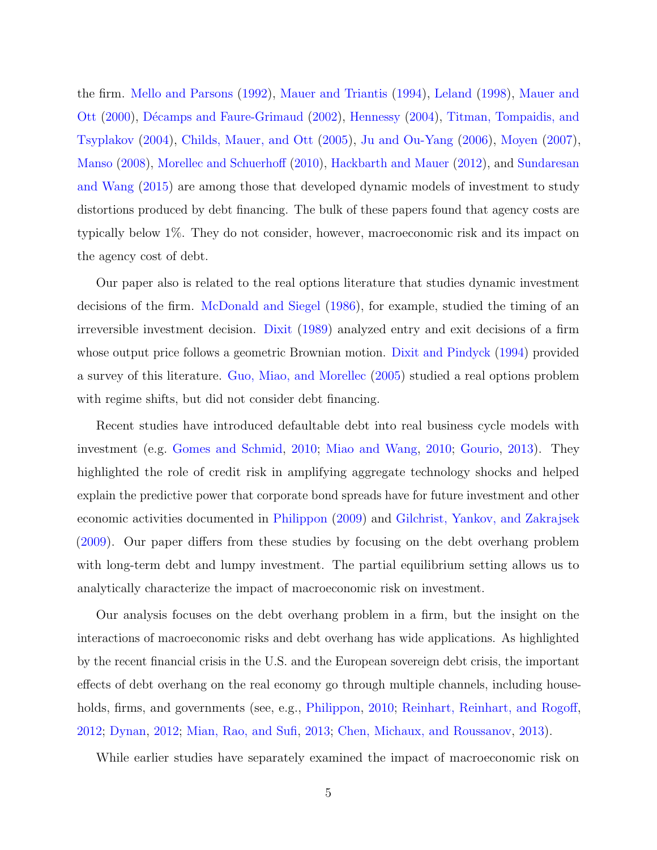the firm. [Mello and Parsons](#page-47-1) [\(1992\)](#page-47-1), [Mauer and Triantis](#page-47-2) [\(1994\)](#page-47-2), [Leland](#page-47-3) [\(1998\)](#page-47-3), [Mauer and](#page-47-4) [Ott](#page-47-4) [\(2000\)](#page-47-4), Décamps and Faure-Grimaud [\(2002\)](#page-45-2), [Hennessy](#page-46-3) [\(2004\)](#page-46-3), [Titman, Tompaidis, and](#page-48-2) [Tsyplakov](#page-48-2) [\(2004\)](#page-48-2), [Childs, Mauer, and Ott](#page-45-3) [\(2005\)](#page-45-3), [Ju and Ou-Yang](#page-46-4) [\(2006\)](#page-46-4), [Moyen](#page-47-5) [\(2007\)](#page-47-5), [Manso](#page-47-6) [\(2008\)](#page-47-6), [Morellec and Schuerhoff](#page-47-7) [\(2010\)](#page-47-7), [Hackbarth and Mauer](#page-46-0) [\(2012\)](#page-46-0), and [Sundaresan](#page-48-3) [and Wang](#page-48-3) [\(2015\)](#page-48-3) are among those that developed dynamic models of investment to study distortions produced by debt financing. The bulk of these papers found that agency costs are typically below 1%. They do not consider, however, macroeconomic risk and its impact on the agency cost of debt.

Our paper also is related to the real options literature that studies dynamic investment decisions of the firm. [McDonald and Siegel](#page-47-8) [\(1986\)](#page-47-8), for example, studied the timing of an irreversible investment decision. [Dixit](#page-45-4) [\(1989\)](#page-45-4) analyzed entry and exit decisions of a firm whose output price follows a geometric Brownian motion. [Dixit and Pindyck](#page-45-5) [\(1994\)](#page-45-5) provided a survey of this literature. [Guo, Miao, and Morellec](#page-46-5) [\(2005\)](#page-46-5) studied a real options problem with regime shifts, but did not consider debt financing.

Recent studies have introduced defaultable debt into real business cycle models with investment (e.g. [Gomes and Schmid,](#page-45-6) [2010;](#page-45-6) [Miao and Wang,](#page-47-9) [2010;](#page-47-9) [Gourio,](#page-46-6) [2013\)](#page-46-6). They highlighted the role of credit risk in amplifying aggregate technology shocks and helped explain the predictive power that corporate bond spreads have for future investment and other economic activities documented in [Philippon](#page-48-4) [\(2009\)](#page-48-4) and [Gilchrist, Yankov, and Zakrajsek](#page-45-7) [\(2009\)](#page-45-7). Our paper differs from these studies by focusing on the debt overhang problem with long-term debt and lumpy investment. The partial equilibrium setting allows us to analytically characterize the impact of macroeconomic risk on investment.

Our analysis focuses on the debt overhang problem in a firm, but the insight on the interactions of macroeconomic risks and debt overhang has wide applications. As highlighted by the recent financial crisis in the U.S. and the European sovereign debt crisis, the important effects of debt overhang on the real economy go through multiple channels, including house-holds, firms, and governments (see, e.g., [Philippon,](#page-48-5) [2010;](#page-48-5) [Reinhart, Reinhart, and Rogoff,](#page-48-6) [2012;](#page-48-6) [Dynan,](#page-45-8) [2012;](#page-45-8) [Mian, Rao, and Sufi,](#page-47-10) [2013;](#page-47-10) [Chen, Michaux, and Roussanov,](#page-44-5) [2013\)](#page-44-5).

While earlier studies have separately examined the impact of macroeconomic risk on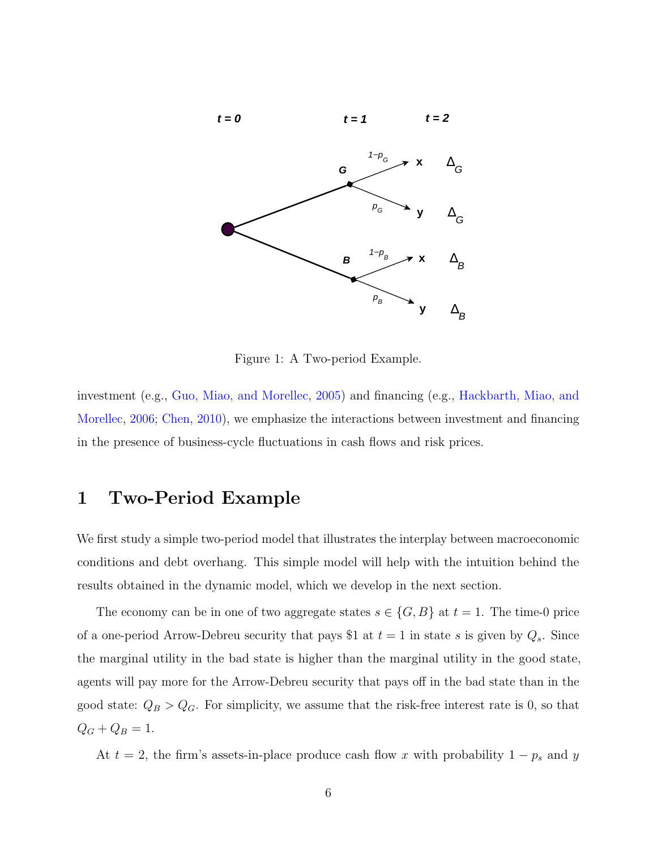

Figure 1: A Two-period Example.

investment (e.g., [Guo, Miao, and Morellec,](#page-46-5) [2005\)](#page-46-5) and financing (e.g., [Hackbarth, Miao, and](#page-46-1) [Morellec,](#page-46-1) [2006;](#page-46-1) [Chen,](#page-44-3) [2010\)](#page-44-3), we emphasize the interactions between investment and financing in the presence of business-cycle fluctuations in cash flows and risk prices.

## <span id="page-6-0"></span>1 Two-Period Example

We first study a simple two-period model that illustrates the interplay between macroeconomic conditions and debt overhang. This simple model will help with the intuition behind the results obtained in the dynamic model, which we develop in the next section.

The economy can be in one of two aggregate states  $s \in \{G, B\}$  at  $t = 1$ . The time-0 price of a one-period Arrow-Debreu security that pays \$1 at  $t = 1$  in state s is given by  $Q_s$ . Since the marginal utility in the bad state is higher than the marginal utility in the good state, agents will pay more for the Arrow-Debreu security that pays off in the bad state than in the good state:  $Q_B > Q_G$ . For simplicity, we assume that the risk-free interest rate is 0, so that  $Q_G + Q_B = 1. \label{eq:QG}$ 

At  $t = 2$ , the firm's assets-in-place produce cash flow x with probability  $1 - p_s$  and y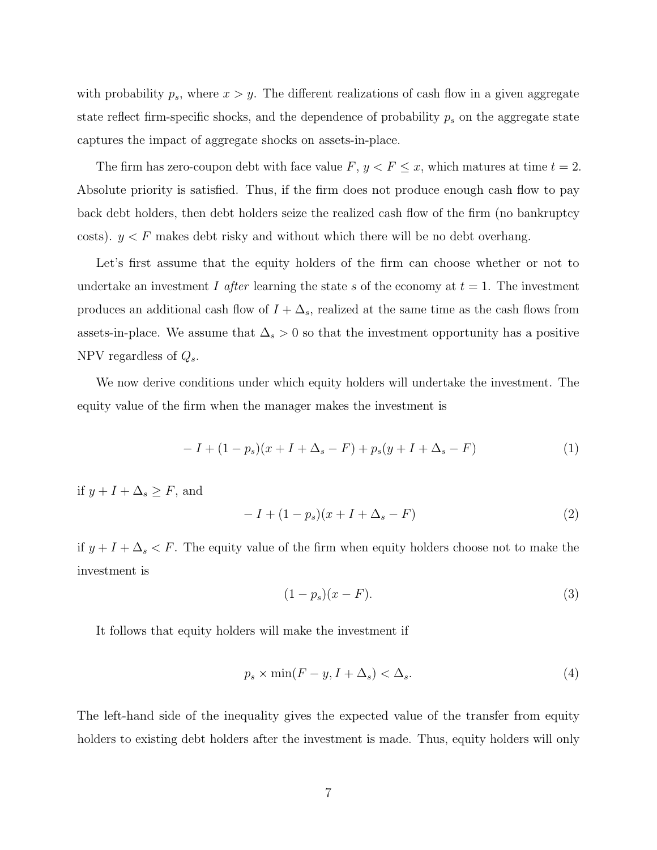with probability  $p_s$ , where  $x > y$ . The different realizations of cash flow in a given aggregate state reflect firm-specific shocks, and the dependence of probability  $p_s$  on the aggregate state captures the impact of aggregate shocks on assets-in-place.

The firm has zero-coupon debt with face value  $F, y < F \leq x$ , which matures at time  $t = 2$ . Absolute priority is satisfied. Thus, if the firm does not produce enough cash flow to pay back debt holders, then debt holders seize the realized cash flow of the firm (no bankruptcy costs).  $y < F$  makes debt risky and without which there will be no debt overhang.

Let's first assume that the equity holders of the firm can choose whether or not to undertake an investment I after learning the state s of the economy at  $t = 1$ . The investment produces an additional cash flow of  $I + \Delta_s$ , realized at the same time as the cash flows from assets-in-place. We assume that  $\Delta_s > 0$  so that the investment opportunity has a positive NPV regardless of  $Q_s$ .

We now derive conditions under which equity holders will undertake the investment. The equity value of the firm when the manager makes the investment is

$$
-I + (1 - p_s)(x + I + \Delta_s - F) + p_s(y + I + \Delta_s - F)
$$
\n(1)

if  $y + I + \Delta_s \geq F$ , and

$$
-I + (1 - p_s)(x + I + \Delta_s - F)
$$
 (2)

if  $y + I + \Delta_s < F$ . The equity value of the firm when equity holders choose not to make the investment is

$$
(1 - p_s)(x - F). \tag{3}
$$

It follows that equity holders will make the investment if

<span id="page-7-0"></span>
$$
p_s \times \min(F - y, I + \Delta_s) < \Delta_s. \tag{4}
$$

The left-hand side of the inequality gives the expected value of the transfer from equity holders to existing debt holders after the investment is made. Thus, equity holders will only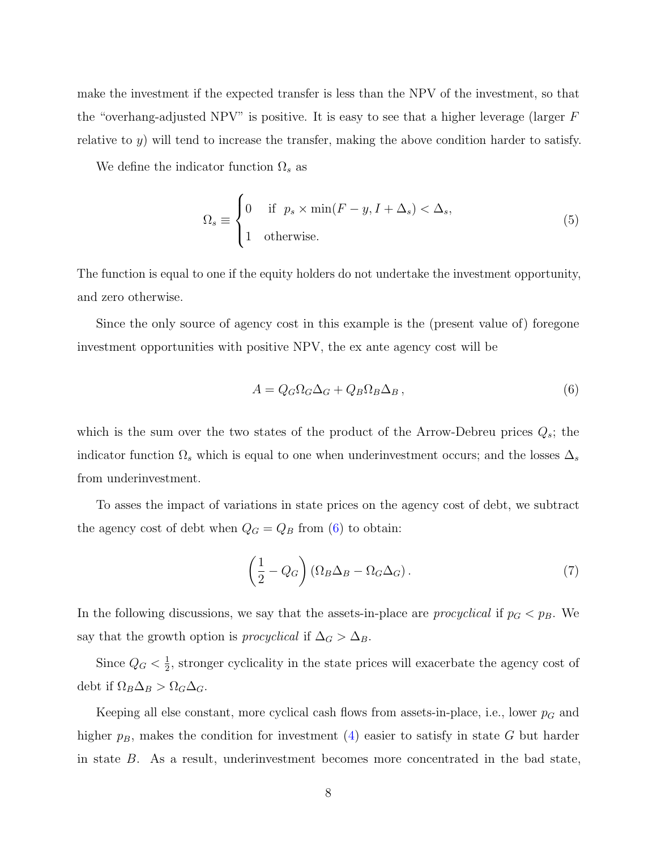make the investment if the expected transfer is less than the NPV of the investment, so that the "overhang-adjusted NPV" is positive. It is easy to see that a higher leverage (larger F relative to y) will tend to increase the transfer, making the above condition harder to satisfy.

We define the indicator function  $\Omega_s$  as

$$
\Omega_s \equiv \begin{cases} 0 & \text{if } p_s \times \min(F - y, I + \Delta_s) < \Delta_s, \\ 1 & \text{otherwise.} \end{cases} \tag{5}
$$

The function is equal to one if the equity holders do not undertake the investment opportunity, and zero otherwise.

Since the only source of agency cost in this example is the (present value of) foregone investment opportunities with positive NPV, the ex ante agency cost will be

<span id="page-8-0"></span>
$$
A = Q_G \Omega_G \Delta_G + Q_B \Omega_B \Delta_B, \qquad (6)
$$

which is the sum over the two states of the product of the Arrow-Debreu prices  $Q_s$ ; the indicator function  $\Omega_s$  which is equal to one when underinvestment occurs; and the losses  $\Delta_s$ from underinvestment.

To asses the impact of variations in state prices on the agency cost of debt, we subtract the agency cost of debt when  $Q_G = Q_B$  from [\(6\)](#page-8-0) to obtain:

$$
\left(\frac{1}{2} - Q_G\right) \left(\Omega_B \Delta_B - \Omega_G \Delta_G\right). \tag{7}
$$

In the following discussions, we say that the assets-in-place are *procyclical* if  $p_G < p_B$ . We say that the growth option is *procyclical* if  $\Delta_G > \Delta_B$ .

Since  $Q_G < \frac{1}{2}$  $\frac{1}{2}$ , stronger cyclicality in the state prices will exacerbate the agency cost of debt if  $\Omega_B \Delta_B > \Omega_G \Delta_G$ .

Keeping all else constant, more cyclical cash flows from assets-in-place, i.e., lower  $p<sub>G</sub>$  and higher  $p_B$ , makes the condition for investment [\(4\)](#page-7-0) easier to satisfy in state G but harder in state B. As a result, underinvestment becomes more concentrated in the bad state,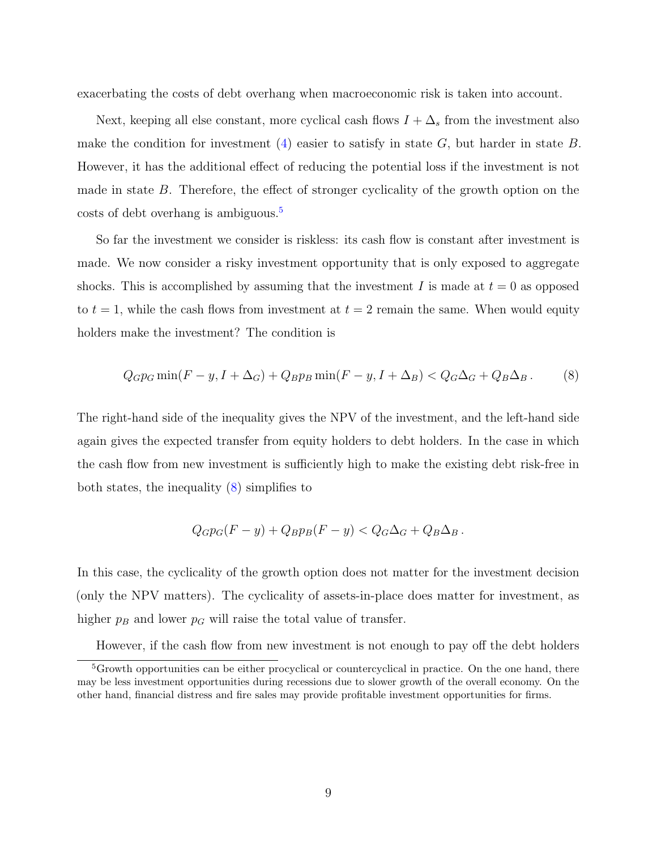exacerbating the costs of debt overhang when macroeconomic risk is taken into account.

Next, keeping all else constant, more cyclical cash flows  $I + \Delta_s$  from the investment also make the condition for investment  $(4)$  easier to satisfy in state G, but harder in state B. However, it has the additional effect of reducing the potential loss if the investment is not made in state B. Therefore, the effect of stronger cyclicality of the growth option on the costs of debt overhang is ambiguous.<sup>[5](#page-9-0)</sup>

So far the investment we consider is riskless: its cash flow is constant after investment is made. We now consider a risky investment opportunity that is only exposed to aggregate shocks. This is accomplished by assuming that the investment I is made at  $t = 0$  as opposed to  $t = 1$ , while the cash flows from investment at  $t = 2$  remain the same. When would equity holders make the investment? The condition is

$$
Q_G p_G \min(F - y, I + \Delta_G) + Q_B p_B \min(F - y, I + \Delta_B) < Q_G \Delta_G + Q_B \Delta_B. \tag{8}
$$

The right-hand side of the inequality gives the NPV of the investment, and the left-hand side again gives the expected transfer from equity holders to debt holders. In the case in which the cash flow from new investment is sufficiently high to make the existing debt risk-free in both states, the inequality [\(8\)](#page-9-1) simplifies to

<span id="page-9-1"></span>
$$
Q_G p_G(F - y) + Q_B p_B(F - y) < Q_G \Delta_G + Q_B \Delta_B \, .
$$

In this case, the cyclicality of the growth option does not matter for the investment decision (only the NPV matters). The cyclicality of assets-in-place does matter for investment, as higher  $p_B$  and lower  $p_B$  will raise the total value of transfer.

<span id="page-9-0"></span>However, if the cash flow from new investment is not enough to pay off the debt holders

<sup>&</sup>lt;sup>5</sup>Growth opportunities can be either procyclical or countercyclical in practice. On the one hand, there may be less investment opportunities during recessions due to slower growth of the overall economy. On the other hand, financial distress and fire sales may provide profitable investment opportunities for firms.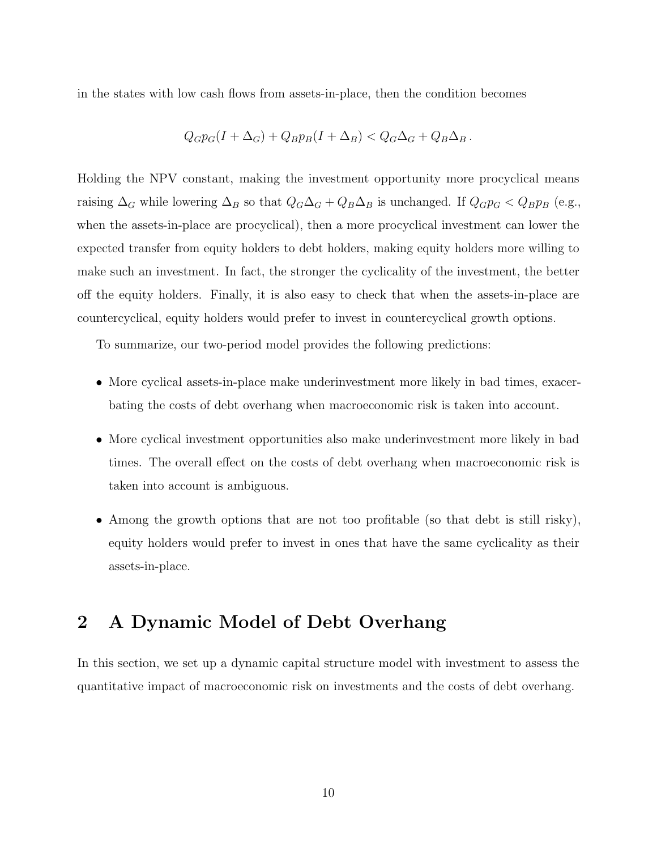in the states with low cash flows from assets-in-place, then the condition becomes

$$
Q_G p_G (I + \Delta_G) + Q_B p_B (I + \Delta_B) < Q_G \Delta_G + Q_B \Delta_B \, .
$$

Holding the NPV constant, making the investment opportunity more procyclical means raising  $\Delta_G$  while lowering  $\Delta_B$  so that  $Q_G\Delta_G + Q_B\Delta_B$  is unchanged. If  $Q_Gp_G < Q_Bp_B$  (e.g., when the assets-in-place are procyclical), then a more procyclical investment can lower the expected transfer from equity holders to debt holders, making equity holders more willing to make such an investment. In fact, the stronger the cyclicality of the investment, the better off the equity holders. Finally, it is also easy to check that when the assets-in-place are countercyclical, equity holders would prefer to invest in countercyclical growth options.

To summarize, our two-period model provides the following predictions:

- More cyclical assets-in-place make underinvestment more likely in bad times, exacerbating the costs of debt overhang when macroeconomic risk is taken into account.
- More cyclical investment opportunities also make underinvestment more likely in bad times. The overall effect on the costs of debt overhang when macroeconomic risk is taken into account is ambiguous.
- Among the growth options that are not too profitable (so that debt is still risky), equity holders would prefer to invest in ones that have the same cyclicality as their assets-in-place.

## 2 A Dynamic Model of Debt Overhang

In this section, we set up a dynamic capital structure model with investment to assess the quantitative impact of macroeconomic risk on investments and the costs of debt overhang.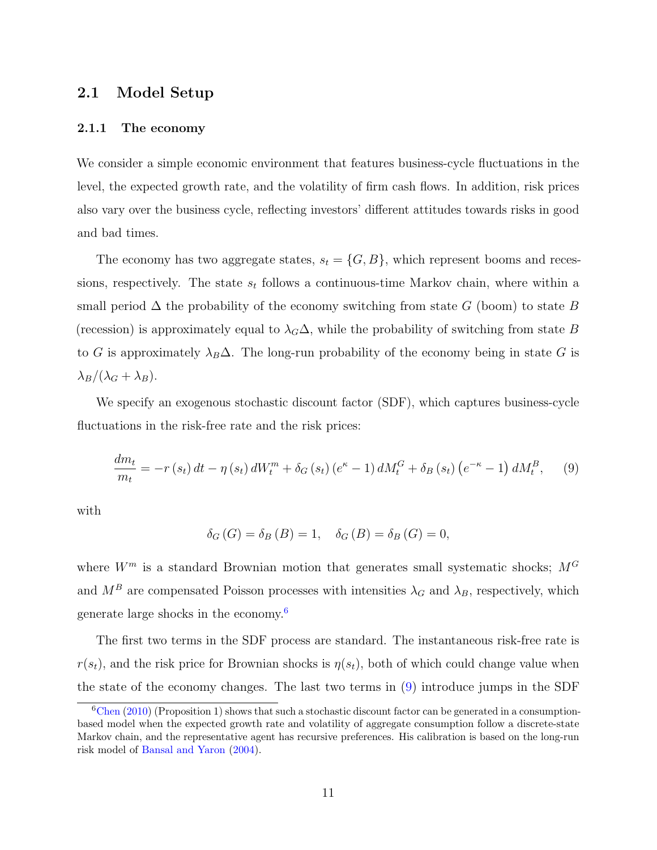## 2.1 Model Setup

### 2.1.1 The economy

We consider a simple economic environment that features business-cycle fluctuations in the level, the expected growth rate, and the volatility of firm cash flows. In addition, risk prices also vary over the business cycle, reflecting investors' different attitudes towards risks in good and bad times.

The economy has two aggregate states,  $s_t = \{G, B\}$ , which represent booms and recessions, respectively. The state  $s_t$  follows a continuous-time Markov chain, where within a small period  $\Delta$  the probability of the economy switching from state G (boom) to state B (recession) is approximately equal to  $\lambda_G\Delta$ , while the probability of switching from state B to G is approximately  $\lambda_B\Delta$ . The long-run probability of the economy being in state G is  $\lambda_B/(\lambda_G + \lambda_B).$ 

We specify an exogenous stochastic discount factor (SDF), which captures business-cycle fluctuations in the risk-free rate and the risk prices:

<span id="page-11-1"></span>
$$
\frac{dm_t}{m_t} = -r(s_t) dt - \eta(s_t) dW_t^m + \delta_G(s_t) (e^{\kappa} - 1) dM_t^G + \delta_B(s_t) (e^{-\kappa} - 1) dM_t^B, \tag{9}
$$

with

$$
\delta_G(G) = \delta_B(B) = 1, \quad \delta_G(B) = \delta_B(G) = 0,
$$

where  $W^m$  is a standard Brownian motion that generates small systematic shocks;  $M^G$ and  $M^B$  are compensated Poisson processes with intensities  $\lambda_G$  and  $\lambda_B$ , respectively, which generate large shocks in the economy.[6](#page-11-0)

The first two terms in the SDF process are standard. The instantaneous risk-free rate is  $r(s_t)$ , and the risk price for Brownian shocks is  $\eta(s_t)$ , both of which could change value when the state of the economy changes. The last two terms in [\(9\)](#page-11-1) introduce jumps in the SDF

<span id="page-11-0"></span> ${}^{6}$ [Chen](#page-44-3) [\(2010\)](#page-44-3) (Proposition 1) shows that such a stochastic discount factor can be generated in a consumptionbased model when the expected growth rate and volatility of aggregate consumption follow a discrete-state Markov chain, and the representative agent has recursive preferences. His calibration is based on the long-run risk model of [Bansal and Yaron](#page-44-6) [\(2004\)](#page-44-6).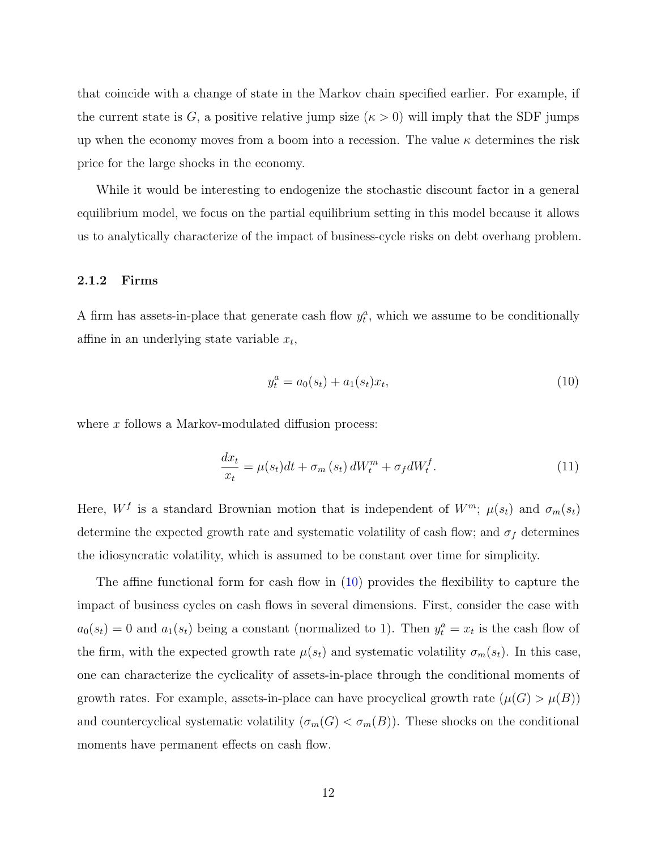that coincide with a change of state in the Markov chain specified earlier. For example, if the current state is G, a positive relative jump size  $(\kappa > 0)$  will imply that the SDF jumps up when the economy moves from a boom into a recession. The value  $\kappa$  determines the risk price for the large shocks in the economy.

While it would be interesting to endogenize the stochastic discount factor in a general equilibrium model, we focus on the partial equilibrium setting in this model because it allows us to analytically characterize of the impact of business-cycle risks on debt overhang problem.

### 2.1.2 Firms

A firm has assets-in-place that generate cash flow  $y_t^a$ , which we assume to be conditionally affine in an underlying state variable  $x_t$ ,

<span id="page-12-0"></span>
$$
y_t^a = a_0(s_t) + a_1(s_t)x_t,
$$
\n(10)

where x follows a Markov-modulated diffusion process:

<span id="page-12-1"></span>
$$
\frac{dx_t}{x_t} = \mu(s_t)dt + \sigma_m(s_t) dW_t^m + \sigma_f dW_t^f. \tag{11}
$$

Here,  $W^f$  is a standard Brownian motion that is independent of  $W^m$ ;  $\mu(s_t)$  and  $\sigma_m(s_t)$ determine the expected growth rate and systematic volatility of cash flow; and  $\sigma_f$  determines the idiosyncratic volatility, which is assumed to be constant over time for simplicity.

The affine functional form for cash flow in [\(10\)](#page-12-0) provides the flexibility to capture the impact of business cycles on cash flows in several dimensions. First, consider the case with  $a_0(s_t) = 0$  and  $a_1(s_t)$  being a constant (normalized to 1). Then  $y_t^a = x_t$  is the cash flow of the firm, with the expected growth rate  $\mu(s_t)$  and systematic volatility  $\sigma_m(s_t)$ . In this case, one can characterize the cyclicality of assets-in-place through the conditional moments of growth rates. For example, assets-in-place can have procyclical growth rate  $(\mu(G) > \mu(B))$ and countercyclical systematic volatility  $(\sigma_m(G) < \sigma_m(B))$ . These shocks on the conditional moments have permanent effects on cash flow.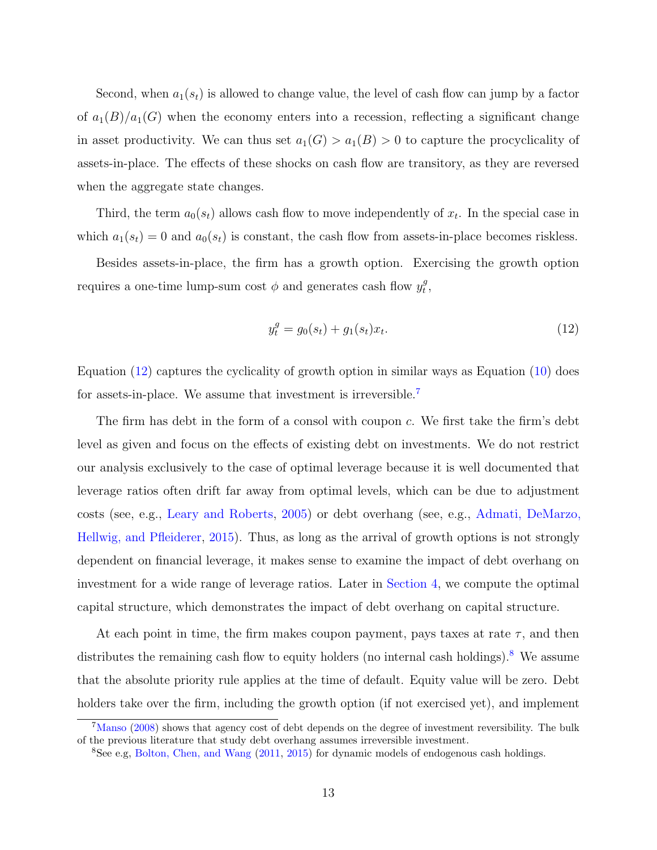Second, when  $a_1(s_t)$  is allowed to change value, the level of cash flow can jump by a factor of  $a_1(B)/a_1(G)$  when the economy enters into a recession, reflecting a significant change in asset productivity. We can thus set  $a_1(G) > a_1(B) > 0$  to capture the procyclicality of assets-in-place. The effects of these shocks on cash flow are transitory, as they are reversed when the aggregate state changes.

Third, the term  $a_0(s_t)$  allows cash flow to move independently of  $x_t$ . In the special case in which  $a_1(s_t) = 0$  and  $a_0(s_t)$  is constant, the cash flow from assets-in-place becomes riskless.

Besides assets-in-place, the firm has a growth option. Exercising the growth option requires a one-time lump-sum cost  $\phi$  and generates cash flow  $y_t^g$  $_t^g,$ 

<span id="page-13-0"></span>
$$
y_t^g = g_0(s_t) + g_1(s_t)x_t.
$$
\n(12)

Equation [\(12\)](#page-13-0) captures the cyclicality of growth option in similar ways as Equation [\(10\)](#page-12-0) does for assets-in-place. We assume that investment is irreversible.<sup>[7](#page-13-1)</sup>

The firm has debt in the form of a consol with coupon  $c$ . We first take the firm's debt level as given and focus on the effects of existing debt on investments. We do not restrict our analysis exclusively to the case of optimal leverage because it is well documented that leverage ratios often drift far away from optimal levels, which can be due to adjustment costs (see, e.g., [Leary and Roberts,](#page-47-11) [2005\)](#page-47-11) or debt overhang (see, e.g., [Admati, DeMarzo,](#page-44-7) [Hellwig, and Pfleiderer,](#page-44-7) [2015\)](#page-44-7). Thus, as long as the arrival of growth options is not strongly dependent on financial leverage, it makes sense to examine the impact of debt overhang on investment for a wide range of leverage ratios. Later in [Section 4,](#page-32-0) we compute the optimal capital structure, which demonstrates the impact of debt overhang on capital structure.

At each point in time, the firm makes coupon payment, pays taxes at rate  $\tau$ , and then distributes the remaining cash flow to equity holders (no internal cash holdings).<sup>[8](#page-13-2)</sup> We assume that the absolute priority rule applies at the time of default. Equity value will be zero. Debt holders take over the firm, including the growth option (if not exercised yet), and implement

<span id="page-13-1"></span><sup>7</sup>[Manso](#page-47-6) [\(2008\)](#page-47-6) shows that agency cost of debt depends on the degree of investment reversibility. The bulk of the previous literature that study debt overhang assumes irreversible investment.

<span id="page-13-2"></span><sup>8</sup>See e.g, [Bolton, Chen, and Wang](#page-44-8) [\(2011,](#page-44-8) [2015\)](#page-44-9) for dynamic models of endogenous cash holdings.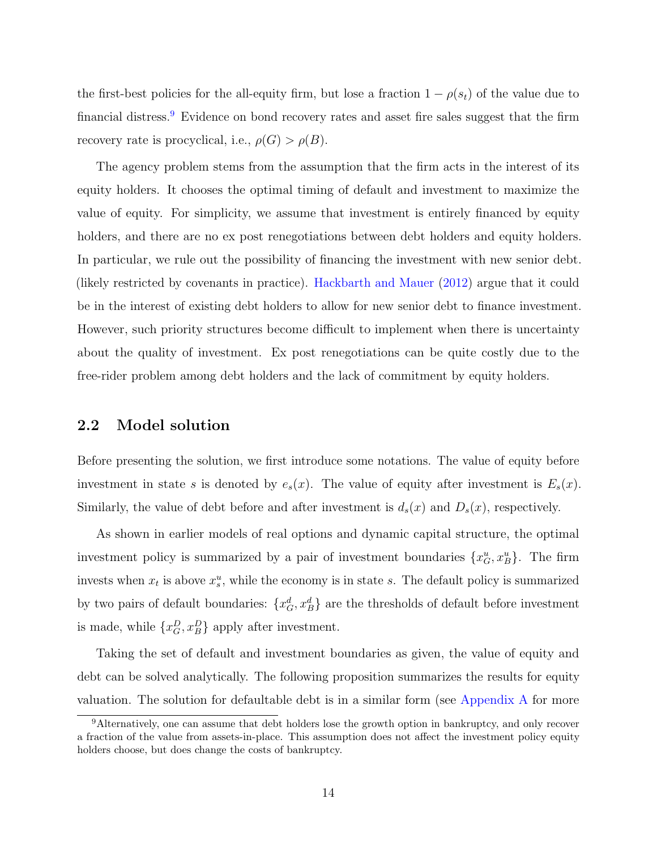the first-best policies for the all-equity firm, but lose a fraction  $1 - \rho(s_t)$  of the value due to financial distress.<sup>[9](#page-14-0)</sup> Evidence on bond recovery rates and asset fire sales suggest that the firm recovery rate is procyclical, i.e.,  $\rho(G) > \rho(B)$ .

The agency problem stems from the assumption that the firm acts in the interest of its equity holders. It chooses the optimal timing of default and investment to maximize the value of equity. For simplicity, we assume that investment is entirely financed by equity holders, and there are no ex post renegotiations between debt holders and equity holders. In particular, we rule out the possibility of financing the investment with new senior debt. (likely restricted by covenants in practice). [Hackbarth and Mauer](#page-46-0) [\(2012\)](#page-46-0) argue that it could be in the interest of existing debt holders to allow for new senior debt to finance investment. However, such priority structures become difficult to implement when there is uncertainty about the quality of investment. Ex post renegotiations can be quite costly due to the free-rider problem among debt holders and the lack of commitment by equity holders.

### <span id="page-14-1"></span>2.2 Model solution

Before presenting the solution, we first introduce some notations. The value of equity before investment in state s is denoted by  $e_s(x)$ . The value of equity after investment is  $E_s(x)$ . Similarly, the value of debt before and after investment is  $d_s(x)$  and  $D_s(x)$ , respectively.

As shown in earlier models of real options and dynamic capital structure, the optimal investment policy is summarized by a pair of investment boundaries  $\{x_G^u, x_B^u\}$ . The firm invests when  $x_t$  is above  $x_s^u$ , while the economy is in state s. The default policy is summarized by two pairs of default boundaries:  $\{x_G^d, x_B^d\}$  are the thresholds of default before investment is made, while  $\{x_G^D, x_B^D\}$  apply after investment.

Taking the set of default and investment boundaries as given, the value of equity and debt can be solved analytically. The following proposition summarizes the results for equity valuation. The solution for defaultable debt is in a similar form (see [Appendix A](#page-37-0) for more

<span id="page-14-0"></span><sup>9</sup>Alternatively, one can assume that debt holders lose the growth option in bankruptcy, and only recover a fraction of the value from assets-in-place. This assumption does not affect the investment policy equity holders choose, but does change the costs of bankruptcy.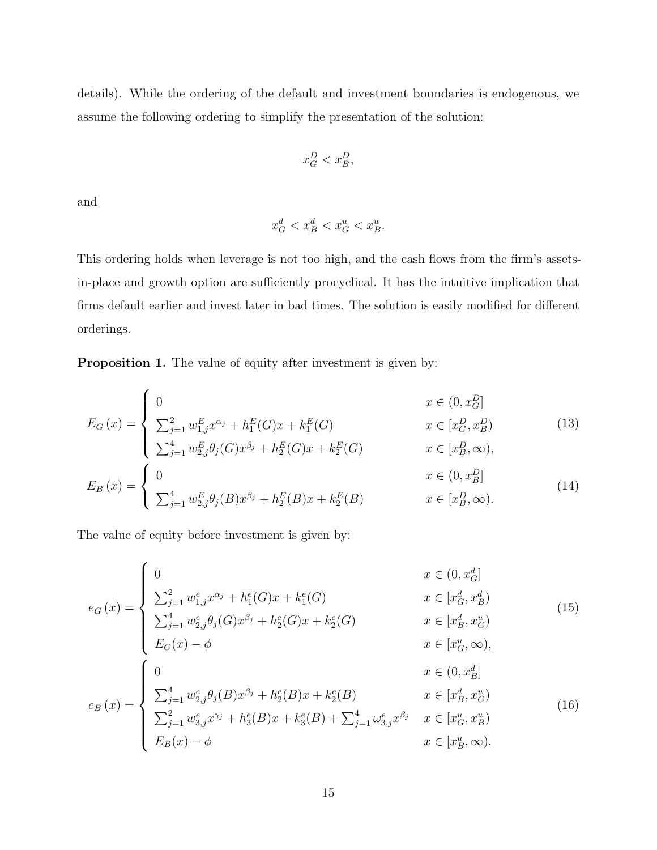details). While the ordering of the default and investment boundaries is endogenous, we assume the following ordering to simplify the presentation of the solution:

$$
x_G^D
$$

and

<span id="page-15-1"></span><span id="page-15-0"></span>
$$
x_G^d < x_B^d < x_G^u < x_B^u.
$$

This ordering holds when leverage is not too high, and the cash flows from the firm's assetsin-place and growth option are sufficiently procyclical. It has the intuitive implication that firms default earlier and invest later in bad times. The solution is easily modified for different orderings.

<span id="page-15-2"></span>Proposition 1. The value of equity after investment is given by:

$$
E_G(x) = \begin{cases} 0 & x \in (0, x_G^D] \\ \sum_{j=1}^2 w_{1,j}^E x^{\alpha_j} + h_1^E(G) x + k_1^E(G) & x \in [x_G^D, x_B^D) \\ \sum_{j=1}^4 w_{2,j}^E \theta_j(G) x^{\beta_j} + h_2^E(G) x + k_2^E(G) & x \in [x_B^D, \infty), \end{cases}
$$
(13)

$$
E_B(x) = \begin{cases} 0 & x \in (0, x_B^D) \\ \sum_{j=1}^4 w_{2,j}^E \theta_j(B) x^{\beta_j} + h_2^E(B) x + k_2^E(B) & x \in [x_B^D, \infty). \end{cases}
$$
(14)

The value of equity before investment is given by:

$$
e_G(x) = \begin{cases} 0 & x \in (0, x_G^d] \\ \sum_{j=1}^2 w_{1,j}^e x^{\alpha_j} + h_1^e(G)x + k_1^e(G) & x \in [x_G^d, x_B^d) \\ \sum_{j=1}^4 w_{2,j}^e \theta_j(G)x^{\beta_j} + h_2^e(G)x + k_2^e(G) & x \in [x_B^d, x_G^u) \\ E_G(x) - \phi & x \in [x_G^u, \infty), \end{cases}
$$
(15)  

$$
e_G(x) = \begin{cases} 0 & x \in (0, x_B^d] \\ \sum_{j=1}^4 w_{2,j}^e \theta_j(B)x^{\beta_j} + h_2^e(B)x + k_2^e(B) & x \in [x_B^d, x_G^u) \end{cases}
$$
(16)

$$
e_B(x) = \begin{cases} \sum_{j=1}^4 w_{2,j}^e \theta_j(B) x^{\beta_j} + h_2^e(B) x + k_2^e(B) & x \in [x_B^d, x_G^u) \\ \sum_{j=1}^2 w_{3,j}^e x^{\gamma_j} + h_3^e(B) x + k_3^e(B) + \sum_{j=1}^4 \omega_{3,j}^e x^{\beta_j} & x \in [x_G^u, x_B^u) \\ E_B(x) - \phi & x \in [x_B^u, \infty). \end{cases}
$$
(16)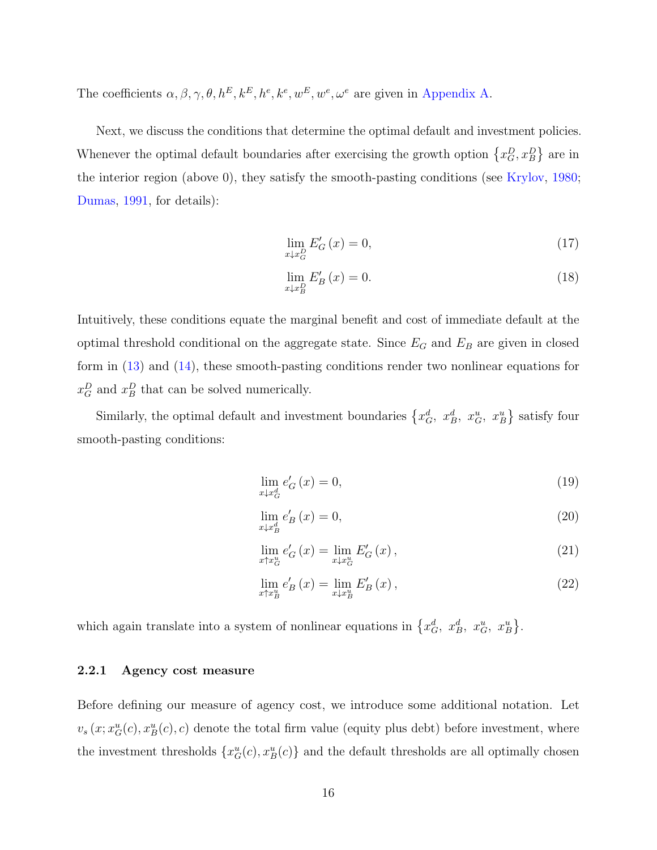The coefficients  $\alpha, \beta, \gamma, \theta, h^E, k^E, h^e, k^e, w^E, w^e, \omega^e$  are given in [Appendix A.](#page-37-0)

Next, we discuss the conditions that determine the optimal default and investment policies. Whenever the optimal default boundaries after exercising the growth option  $\{x_G^D, x_B^D\}$  are in the interior region (above 0), they satisfy the smooth-pasting conditions (see [Krylov,](#page-46-7) [1980;](#page-46-7) [Dumas,](#page-45-9) [1991,](#page-45-9) for details):

<span id="page-16-0"></span>
$$
\lim_{x \downarrow x_G^D} E'_G(x) = 0,\tag{17}
$$

$$
\lim_{x \downarrow x_B^D} E'_B(x) = 0. \tag{18}
$$

Intuitively, these conditions equate the marginal benefit and cost of immediate default at the optimal threshold conditional on the aggregate state. Since  $E_G$  and  $E_B$  are given in closed form in [\(13\)](#page-15-0) and [\(14\)](#page-15-1), these smooth-pasting conditions render two nonlinear equations for  $x_G^D$  and  $x_B^D$  that can be solved numerically.

Similarly, the optimal default and investment boundaries  $\{x_G^d, x_B^d, x_G^u, x_B^u\}$  satisfy four smooth-pasting conditions:

$$
\lim_{x \downarrow x_G^d} e_G'(x) = 0,\tag{19}
$$

$$
\lim_{x \downarrow x_{B}^{d}} e'_{B}(x) = 0,\tag{20}
$$

<span id="page-16-1"></span>
$$
\lim_{x \uparrow x_G^u} e_G'(x) = \lim_{x \downarrow x_G^u} E_G'(x) \,, \tag{21}
$$

$$
\lim_{x \uparrow x_B^u} e'_B(x) = \lim_{x \downarrow x_B^u} E'_B(x), \qquad (22)
$$

which again translate into a system of nonlinear equations in  $\{x_G^d, x_B^d, x_G^u, x_B^u\}$ .

### 2.2.1 Agency cost measure

Before defining our measure of agency cost, we introduce some additional notation. Let  $v_s(x; x_G^u(c), x_B^u(c), c)$  denote the total firm value (equity plus debt) before investment, where the investment thresholds  $\{x_G^u(c), x_B^u(c)\}\$  and the default thresholds are all optimally chosen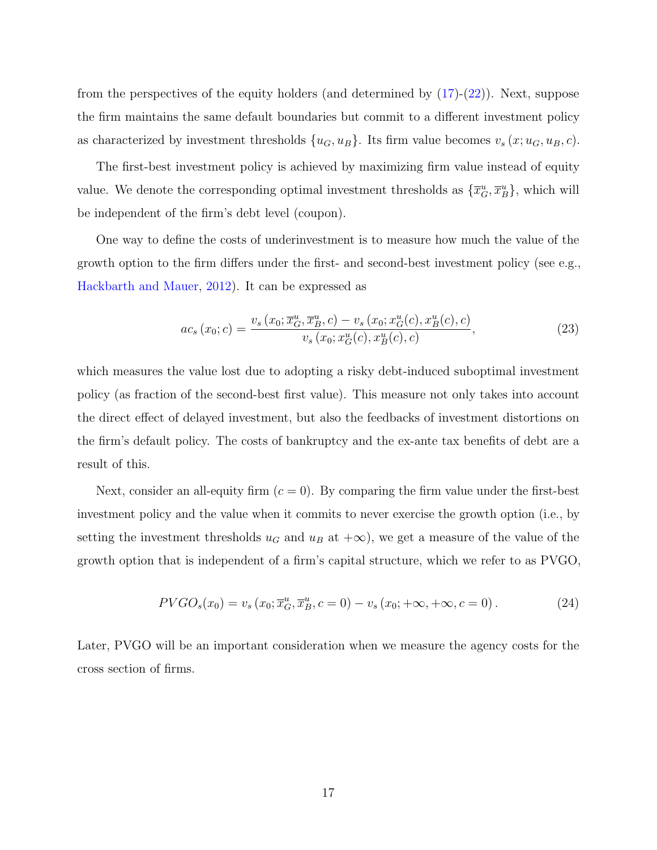from the perspectives of the equity holders (and determined by [\(17\)](#page-16-0)-[\(22\)](#page-16-1)). Next, suppose the firm maintains the same default boundaries but commit to a different investment policy as characterized by investment thresholds  $\{u_G, u_B\}$ . Its firm value becomes  $v_s(x; u_G, u_B, c)$ .

The first-best investment policy is achieved by maximizing firm value instead of equity value. We denote the corresponding optimal investment thresholds as  $\{\bar{x}_G^u, \bar{x}_B^u\}$ , which will be independent of the firm's debt level (coupon).

One way to define the costs of underinvestment is to measure how much the value of the growth option to the firm differs under the first- and second-best investment policy (see e.g., [Hackbarth and Mauer,](#page-46-0) [2012\)](#page-46-0). It can be expressed as

<span id="page-17-0"></span>
$$
ac_s(x_0; c) = \frac{v_s(x_0; \overline{x}_G^u, \overline{x}_B^u, c) - v_s(x_0; x_G^u(c), x_B^u(c), c)}{v_s(x_0; x_G^u(c), x_B^u(c), c)},
$$
\n(23)

which measures the value lost due to adopting a risky debt-induced suboptimal investment policy (as fraction of the second-best first value). This measure not only takes into account the direct effect of delayed investment, but also the feedbacks of investment distortions on the firm's default policy. The costs of bankruptcy and the ex-ante tax benefits of debt are a result of this.

Next, consider an all-equity firm  $(c = 0)$ . By comparing the firm value under the first-best investment policy and the value when it commits to never exercise the growth option (i.e., by setting the investment thresholds  $u_G$  and  $u_B$  at  $+\infty$ ), we get a measure of the value of the growth option that is independent of a firm's capital structure, which we refer to as PVGO,

<span id="page-17-1"></span>
$$
PVGO_s(x_0) = v_s(x_0; \overline{x}_G^u, \overline{x}_B^u, c = 0) - v_s(x_0; +\infty, +\infty, c = 0).
$$
 (24)

Later, PVGO will be an important consideration when we measure the agency costs for the cross section of firms.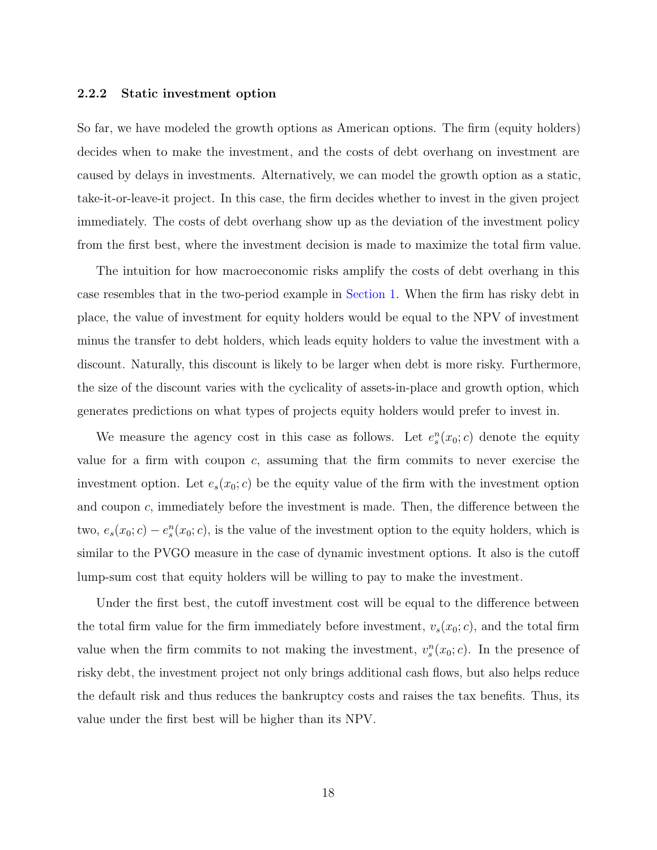### 2.2.2 Static investment option

So far, we have modeled the growth options as American options. The firm (equity holders) decides when to make the investment, and the costs of debt overhang on investment are caused by delays in investments. Alternatively, we can model the growth option as a static, take-it-or-leave-it project. In this case, the firm decides whether to invest in the given project immediately. The costs of debt overhang show up as the deviation of the investment policy from the first best, where the investment decision is made to maximize the total firm value.

The intuition for how macroeconomic risks amplify the costs of debt overhang in this case resembles that in the two-period example in [Section 1.](#page-6-0) When the firm has risky debt in place, the value of investment for equity holders would be equal to the NPV of investment minus the transfer to debt holders, which leads equity holders to value the investment with a discount. Naturally, this discount is likely to be larger when debt is more risky. Furthermore, the size of the discount varies with the cyclicality of assets-in-place and growth option, which generates predictions on what types of projects equity holders would prefer to invest in.

We measure the agency cost in this case as follows. Let  $e_s^n(x_0; c)$  denote the equity value for a firm with coupon  $c$ , assuming that the firm commits to never exercise the investment option. Let  $e_s(x_0; c)$  be the equity value of the firm with the investment option and coupon c, immediately before the investment is made. Then, the difference between the two,  $e_s(x_0; c) - e_s^n(x_0; c)$ , is the value of the investment option to the equity holders, which is similar to the PVGO measure in the case of dynamic investment options. It also is the cutoff lump-sum cost that equity holders will be willing to pay to make the investment.

Under the first best, the cutoff investment cost will be equal to the difference between the total firm value for the firm immediately before investment,  $v_s(x_0; c)$ , and the total firm value when the firm commits to not making the investment,  $v_s^n(x_0; c)$ . In the presence of risky debt, the investment project not only brings additional cash flows, but also helps reduce the default risk and thus reduces the bankruptcy costs and raises the tax benefits. Thus, its value under the first best will be higher than its NPV.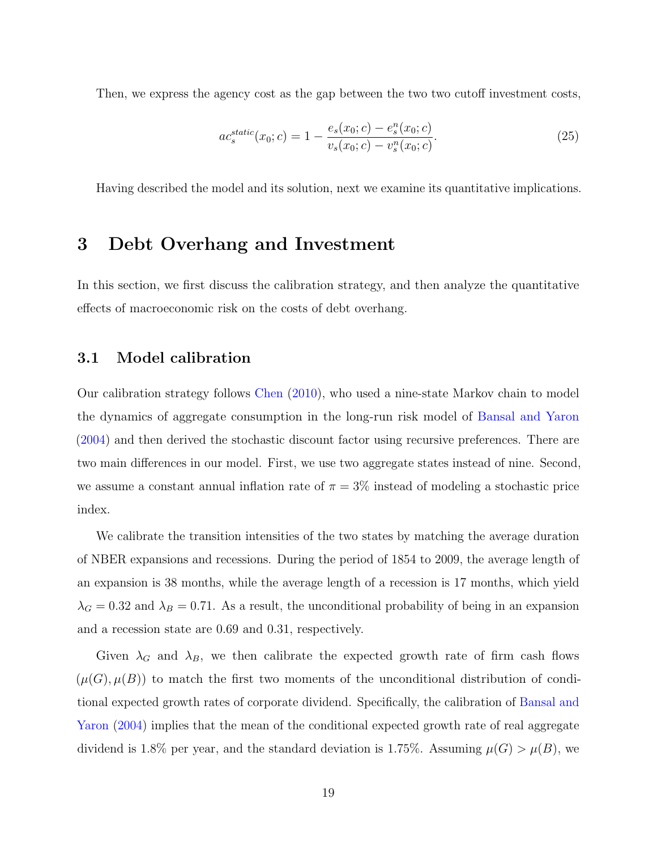Then, we express the agency cost as the gap between the two two cutoff investment costs,

$$
ac_s^{static}(x_0; c) = 1 - \frac{e_s(x_0; c) - e_s^n(x_0; c)}{v_s(x_0; c) - v_s^n(x_0; c)}.
$$
\n(25)

Having described the model and its solution, next we examine its quantitative implications.

## 3 Debt Overhang and Investment

In this section, we first discuss the calibration strategy, and then analyze the quantitative effects of macroeconomic risk on the costs of debt overhang.

## <span id="page-19-0"></span>3.1 Model calibration

Our calibration strategy follows [Chen](#page-44-3) [\(2010\)](#page-44-3), who used a nine-state Markov chain to model the dynamics of aggregate consumption in the long-run risk model of [Bansal and Yaron](#page-44-6) [\(2004\)](#page-44-6) and then derived the stochastic discount factor using recursive preferences. There are two main differences in our model. First, we use two aggregate states instead of nine. Second, we assume a constant annual inflation rate of  $\pi = 3\%$  instead of modeling a stochastic price index.

We calibrate the transition intensities of the two states by matching the average duration of NBER expansions and recessions. During the period of 1854 to 2009, the average length of an expansion is 38 months, while the average length of a recession is 17 months, which yield  $\lambda_G = 0.32$  and  $\lambda_B = 0.71$ . As a result, the unconditional probability of being in an expansion and a recession state are 0.69 and 0.31, respectively.

Given  $\lambda_G$  and  $\lambda_B$ , we then calibrate the expected growth rate of firm cash flows  $(\mu(G), \mu(B))$  to match the first two moments of the unconditional distribution of conditional expected growth rates of corporate dividend. Specifically, the calibration of [Bansal and](#page-44-6) [Yaron](#page-44-6)  $(2004)$  implies that the mean of the conditional expected growth rate of real aggregate dividend is 1.8% per year, and the standard deviation is 1.75%. Assuming  $\mu(G) > \mu(B)$ , we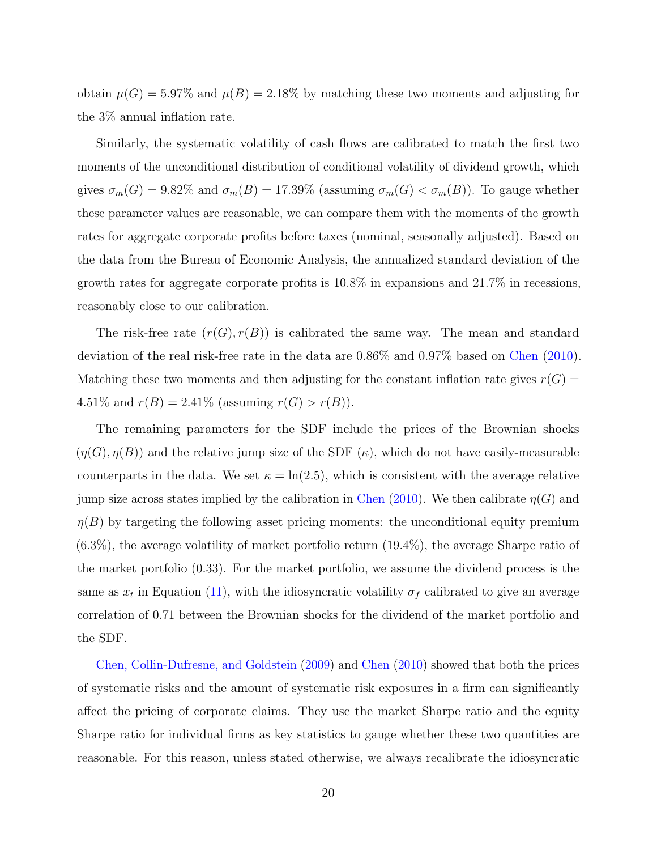obtain  $\mu(G) = 5.97\%$  and  $\mu(B) = 2.18\%$  by matching these two moments and adjusting for the 3% annual inflation rate.

Similarly, the systematic volatility of cash flows are calibrated to match the first two moments of the unconditional distribution of conditional volatility of dividend growth, which gives  $\sigma_m(G) = 9.82\%$  and  $\sigma_m(B) = 17.39\%$  (assuming  $\sigma_m(G) < \sigma_m(B)$ ). To gauge whether these parameter values are reasonable, we can compare them with the moments of the growth rates for aggregate corporate profits before taxes (nominal, seasonally adjusted). Based on the data from the Bureau of Economic Analysis, the annualized standard deviation of the growth rates for aggregate corporate profits is 10.8% in expansions and 21.7% in recessions, reasonably close to our calibration.

The risk-free rate  $(r(G), r(B))$  is calibrated the same way. The mean and standard deviation of the real risk-free rate in the data are 0.86% and 0.97% based on [Chen](#page-44-3) [\(2010\)](#page-44-3). Matching these two moments and then adjusting for the constant inflation rate gives  $r(G)$  = 4.51% and  $r(B) = 2.41\%$  (assuming  $r(G) > r(B)$ ).

The remaining parameters for the SDF include the prices of the Brownian shocks  $(\eta(G), \eta(B))$  and the relative jump size of the SDF  $(\kappa)$ , which do not have easily-measurable counterparts in the data. We set  $\kappa = \ln(2.5)$ , which is consistent with the average relative jump size across states implied by the calibration in [Chen](#page-44-3) [\(2010\)](#page-44-3). We then calibrate  $\eta(G)$  and  $\eta(B)$  by targeting the following asset pricing moments: the unconditional equity premium (6.3%), the average volatility of market portfolio return (19.4%), the average Sharpe ratio of the market portfolio (0.33). For the market portfolio, we assume the dividend process is the same as  $x_t$  in Equation [\(11\)](#page-12-1), with the idiosyncratic volatility  $\sigma_f$  calibrated to give an average correlation of 0.71 between the Brownian shocks for the dividend of the market portfolio and the SDF.

[Chen, Collin-Dufresne, and Goldstein](#page-45-10) [\(2009\)](#page-45-10) and [Chen](#page-44-3) [\(2010\)](#page-44-3) showed that both the prices of systematic risks and the amount of systematic risk exposures in a firm can significantly affect the pricing of corporate claims. They use the market Sharpe ratio and the equity Sharpe ratio for individual firms as key statistics to gauge whether these two quantities are reasonable. For this reason, unless stated otherwise, we always recalibrate the idiosyncratic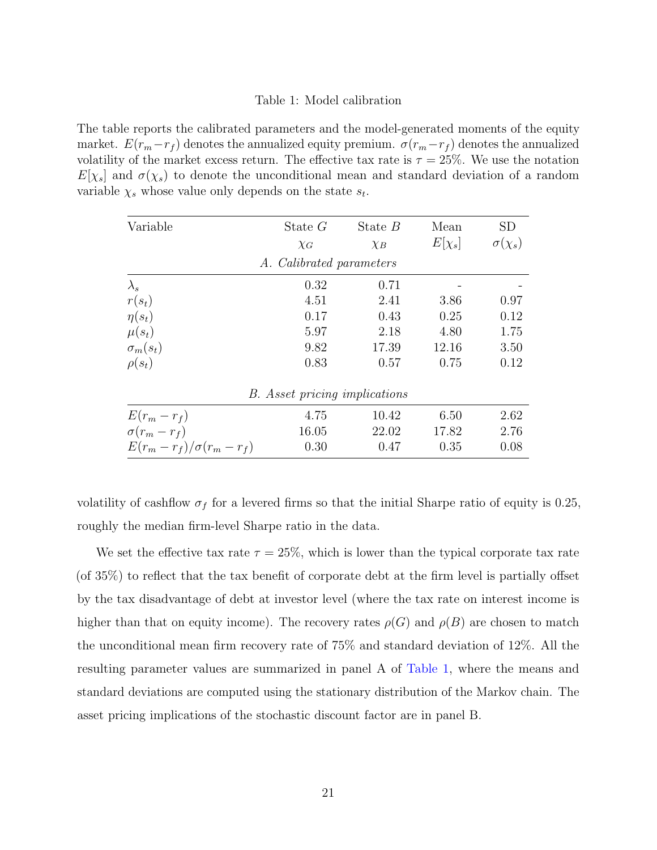#### <span id="page-21-0"></span>Table 1: Model calibration

The table reports the calibrated parameters and the model-generated moments of the equity market.  $E(r_m - r_f)$  denotes the annualized equity premium.  $\sigma(r_m - r_f)$  denotes the annualized volatility of the market excess return. The effective tax rate is  $\tau = 25\%$ . We use the notation  $E[\chi_s]$  and  $\sigma(\chi_s)$  to denote the unconditional mean and standard deviation of a random variable  $\chi_s$  whose value only depends on the state  $s_t$ .

| Variable                     | State $G$                            | State $B$ | Mean        | <b>SD</b>        |
|------------------------------|--------------------------------------|-----------|-------------|------------------|
|                              | $\chi$ <sub>G</sub>                  | $\chi_B$  | $E[\chi_s]$ | $\sigma(\chi_s)$ |
|                              | A. Calibrated parameters             |           |             |                  |
| $\lambda_s$                  | 0.32                                 | 0.71      |             |                  |
| $r(s_t)$                     | 4.51                                 | 2.41      | 3.86        | 0.97             |
| $\eta(s_t)$                  | 0.17                                 | 0.43      | 0.25        | 0.12             |
| $\mu(s_t)$                   | 5.97                                 | 2.18      | 4.80        | 1.75             |
| $\sigma_m(s_t)$              | 9.82                                 | 17.39     | 12.16       | 3.50             |
| $\rho(s_t)$                  | 0.83                                 | 0.57      | 0.75        | 0.12             |
|                              | <b>B.</b> Asset pricing implications |           |             |                  |
| $E(r_m - r_f)$               | 4.75                                 | 10.42     | 6.50        | 2.62             |
| $\sigma(r_m-r_f)$            | 16.05                                | 22.02     | 17.82       | 2.76             |
| $E(r_m-r_f)/\sigma(r_m-r_f)$ | 0.30                                 | 0.47      | 0.35        | 0.08             |

volatility of cashflow  $\sigma_f$  for a levered firms so that the initial Sharpe ratio of equity is 0.25, roughly the median firm-level Sharpe ratio in the data.

We set the effective tax rate  $\tau = 25\%$ , which is lower than the typical corporate tax rate (of 35%) to reflect that the tax benefit of corporate debt at the firm level is partially offset by the tax disadvantage of debt at investor level (where the tax rate on interest income is higher than that on equity income). The recovery rates  $\rho(G)$  and  $\rho(B)$  are chosen to match the unconditional mean firm recovery rate of 75% and standard deviation of 12%. All the resulting parameter values are summarized in panel A of [Table 1,](#page-21-0) where the means and standard deviations are computed using the stationary distribution of the Markov chain. The asset pricing implications of the stochastic discount factor are in panel B.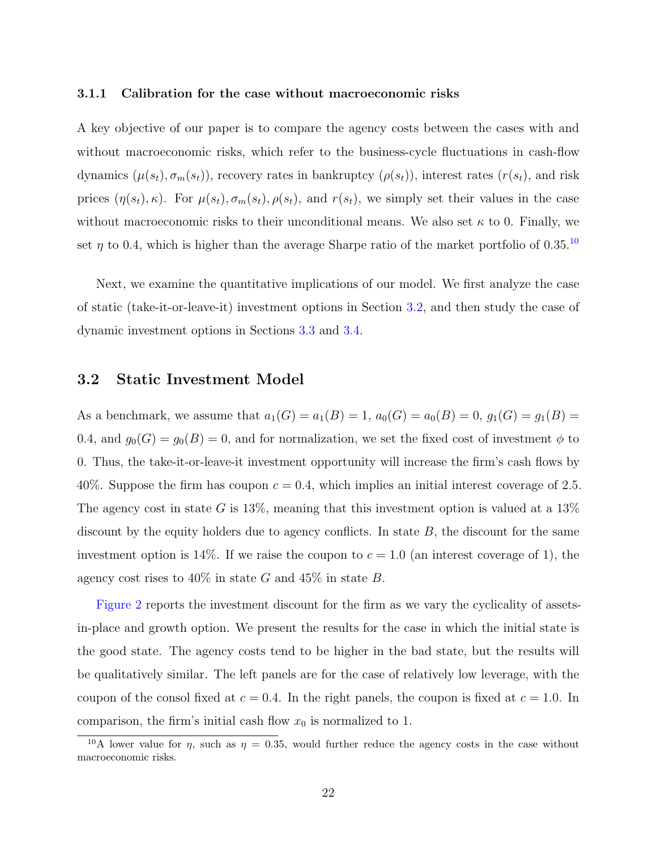#### 3.1.1 Calibration for the case without macroeconomic risks

A key objective of our paper is to compare the agency costs between the cases with and without macroeconomic risks, which refer to the business-cycle fluctuations in cash-flow dynamics  $(\mu(s_t), \sigma_m(s_t))$ , recovery rates in bankruptcy  $(\rho(s_t))$ , interest rates  $(r(s_t))$ , and risk prices  $(\eta(s_t), \kappa)$ . For  $\mu(s_t), \sigma_m(s_t), \rho(s_t)$ , and  $r(s_t)$ , we simply set their values in the case without macroeconomic risks to their unconditional means. We also set  $\kappa$  to 0. Finally, we set  $\eta$  to 0.4, which is higher than the average Sharpe ratio of the market portfolio of 0.35.<sup>[10](#page-22-0)</sup>

Next, we examine the quantitative implications of our model. We first analyze the case of static (take-it-or-leave-it) investment options in Section [3.2,](#page-22-1) and then study the case of dynamic investment options in Sections [3.3](#page-26-0) and [3.4.](#page-30-0)

## <span id="page-22-1"></span>3.2 Static Investment Model

As a benchmark, we assume that  $a_1(G) = a_1(B) = 1$ ,  $a_0(G) = a_0(B) = 0$ ,  $g_1(G) = g_1(B) = 0$ 0.4, and  $g_0(G) = g_0(B) = 0$ , and for normalization, we set the fixed cost of investment  $\phi$  to 0. Thus, the take-it-or-leave-it investment opportunity will increase the firm's cash flows by 40%. Suppose the firm has coupon  $c = 0.4$ , which implies an initial interest coverage of 2.5. The agency cost in state G is  $13\%$ , meaning that this investment option is valued at a  $13\%$ discount by the equity holders due to agency conflicts. In state  $B$ , the discount for the same investment option is 14%. If we raise the coupon to  $c = 1.0$  (an interest coverage of 1), the agency cost rises to  $40\%$  in state G and  $45\%$  in state B.

[Figure 2](#page-23-0) reports the investment discount for the firm as we vary the cyclicality of assetsin-place and growth option. We present the results for the case in which the initial state is the good state. The agency costs tend to be higher in the bad state, but the results will be qualitatively similar. The left panels are for the case of relatively low leverage, with the coupon of the consol fixed at  $c = 0.4$ . In the right panels, the coupon is fixed at  $c = 1.0$ . In comparison, the firm's initial cash flow  $x_0$  is normalized to 1.

<span id="page-22-0"></span><sup>&</sup>lt;sup>10</sup>A lower value for  $\eta$ , such as  $\eta = 0.35$ , would further reduce the agency costs in the case without macroeconomic risks.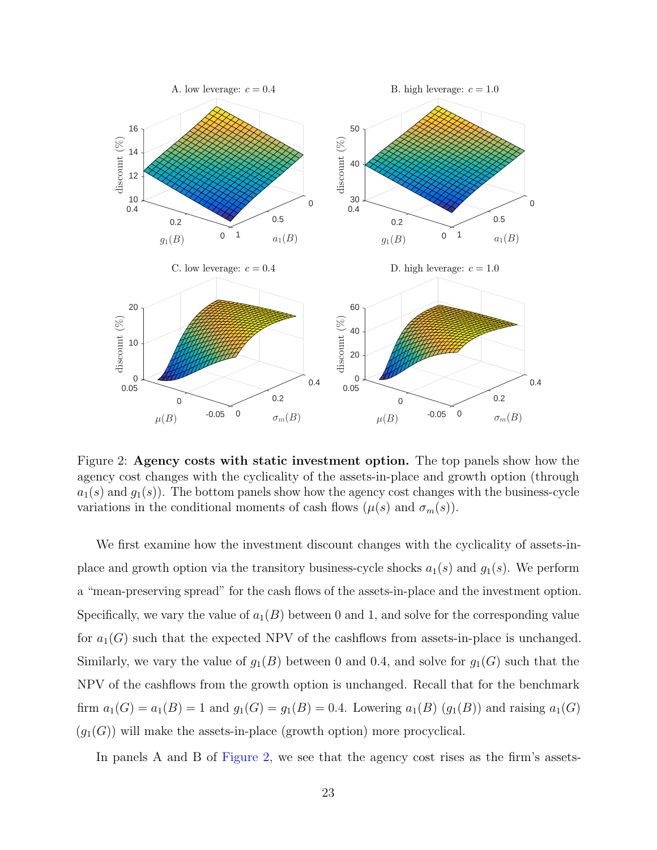

<span id="page-23-0"></span>Figure 2: Agency costs with static investment option. The top panels show how the agency cost changes with the cyclicality of the assets-in-place and growth option (through  $a_1(s)$  and  $g_1(s)$ ). The bottom panels show how the agency cost changes with the business-cycle variations in the conditional moments of cash flows  $(\mu(s)$  and  $\sigma_m(s))$ .

We first examine how the investment discount changes with the cyclicality of assets-inplace and growth option via the transitory business-cycle shocks  $a_1(s)$  and  $g_1(s)$ . We perform a "mean-preserving spread" for the cash flows of the assets-in-place and the investment option. Specifically, we vary the value of  $a_1(B)$  between 0 and 1, and solve for the corresponding value for  $a_1(G)$  such that the expected NPV of the cashflows from assets-in-place is unchanged. Similarly, we vary the value of  $g_1(B)$  between 0 and 0.4, and solve for  $g_1(G)$  such that the NPV of the cashflows from the growth option is unchanged. Recall that for the benchmark firm  $a_1(G) = a_1(B) = 1$  and  $g_1(G) = g_1(B) = 0.4$ . Lowering  $a_1(B)$   $(g_1(B))$  and raising  $a_1(G)$  $(g_1(G))$  will make the assets-in-place (growth option) more procyclical.

In panels A and B of [Figure 2,](#page-23-0) we see that the agency cost rises as the firm's assets-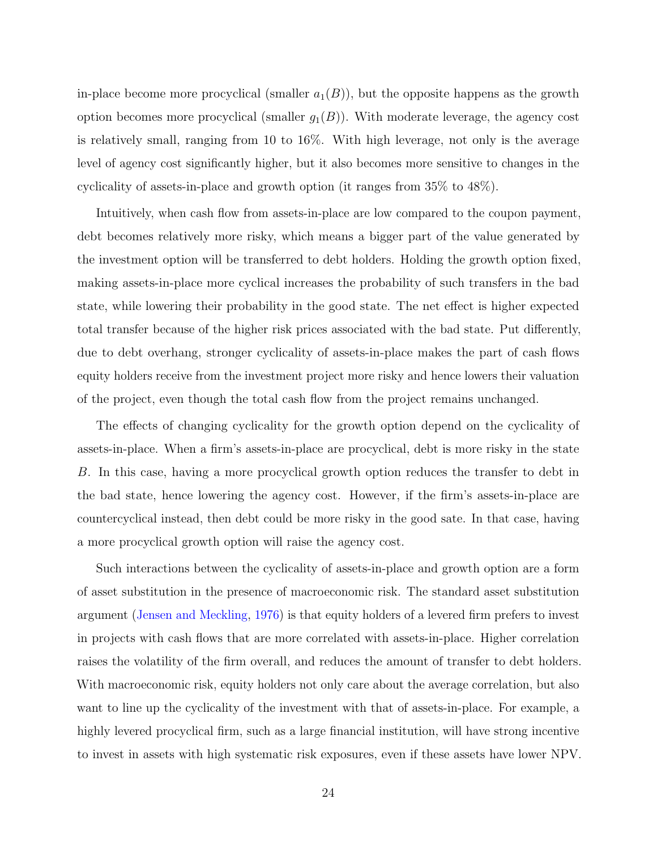in-place become more procyclical (smaller  $a_1(B)$ ), but the opposite happens as the growth option becomes more procyclical (smaller  $g_1(B)$ ). With moderate leverage, the agency cost is relatively small, ranging from 10 to 16%. With high leverage, not only is the average level of agency cost significantly higher, but it also becomes more sensitive to changes in the cyclicality of assets-in-place and growth option (it ranges from 35% to 48%).

Intuitively, when cash flow from assets-in-place are low compared to the coupon payment, debt becomes relatively more risky, which means a bigger part of the value generated by the investment option will be transferred to debt holders. Holding the growth option fixed, making assets-in-place more cyclical increases the probability of such transfers in the bad state, while lowering their probability in the good state. The net effect is higher expected total transfer because of the higher risk prices associated with the bad state. Put differently, due to debt overhang, stronger cyclicality of assets-in-place makes the part of cash flows equity holders receive from the investment project more risky and hence lowers their valuation of the project, even though the total cash flow from the project remains unchanged.

The effects of changing cyclicality for the growth option depend on the cyclicality of assets-in-place. When a firm's assets-in-place are procyclical, debt is more risky in the state B. In this case, having a more procyclical growth option reduces the transfer to debt in the bad state, hence lowering the agency cost. However, if the firm's assets-in-place are countercyclical instead, then debt could be more risky in the good sate. In that case, having a more procyclical growth option will raise the agency cost.

Such interactions between the cyclicality of assets-in-place and growth option are a form of asset substitution in the presence of macroeconomic risk. The standard asset substitution argument [\(Jensen and Meckling,](#page-46-8) [1976\)](#page-46-8) is that equity holders of a levered firm prefers to invest in projects with cash flows that are more correlated with assets-in-place. Higher correlation raises the volatility of the firm overall, and reduces the amount of transfer to debt holders. With macroeconomic risk, equity holders not only care about the average correlation, but also want to line up the cyclicality of the investment with that of assets-in-place. For example, a highly levered procyclical firm, such as a large financial institution, will have strong incentive to invest in assets with high systematic risk exposures, even if these assets have lower NPV.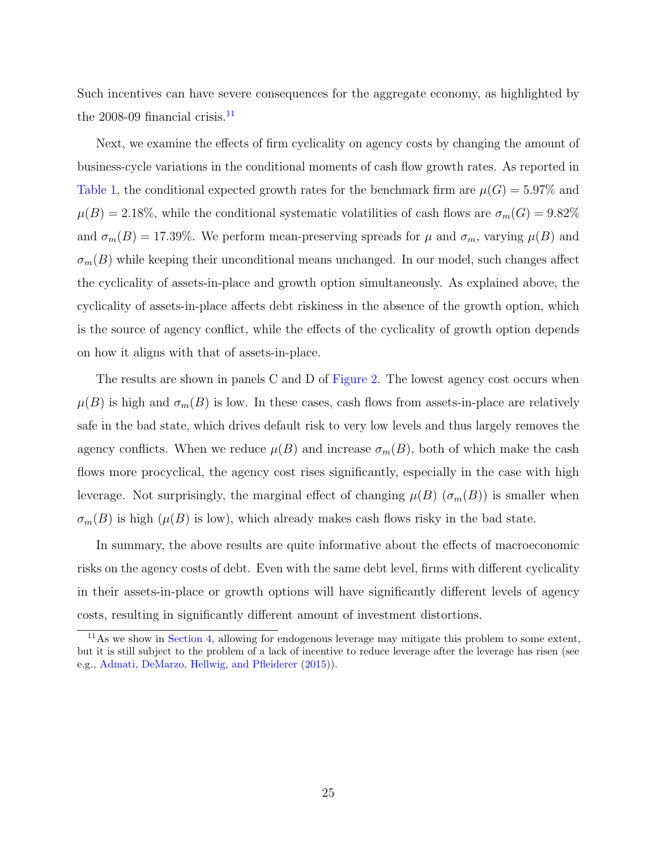Such incentives can have severe consequences for the aggregate economy, as highlighted by the 2008-09 financial crisis. $^{11}$  $^{11}$  $^{11}$ 

Next, we examine the effects of firm cyclicality on agency costs by changing the amount of business-cycle variations in the conditional moments of cash flow growth rates. As reported in [Table 1,](#page-21-0) the conditional expected growth rates for the benchmark firm are  $\mu(G) = 5.97\%$  and  $\mu(B) = 2.18\%$ , while the conditional systematic volatilities of cash flows are  $\sigma_m(G) = 9.82\%$ and  $\sigma_m(B) = 17.39\%$ . We perform mean-preserving spreads for  $\mu$  and  $\sigma_m$ , varying  $\mu(B)$  and  $\sigma_m(B)$  while keeping their unconditional means unchanged. In our model, such changes affect the cyclicality of assets-in-place and growth option simultaneously. As explained above, the cyclicality of assets-in-place affects debt riskiness in the absence of the growth option, which is the source of agency conflict, while the effects of the cyclicality of growth option depends on how it aligns with that of assets-in-place.

The results are shown in panels C and D of [Figure 2.](#page-23-0) The lowest agency cost occurs when  $\mu(B)$  is high and  $\sigma_m(B)$  is low. In these cases, cash flows from assets-in-place are relatively safe in the bad state, which drives default risk to very low levels and thus largely removes the agency conflicts. When we reduce  $\mu(B)$  and increase  $\sigma_m(B)$ , both of which make the cash flows more procyclical, the agency cost rises significantly, especially in the case with high leverage. Not surprisingly, the marginal effect of changing  $\mu(B)$  ( $\sigma_m(B)$ ) is smaller when  $\sigma_m(B)$  is high  $(\mu(B))$  is low), which already makes cash flows risky in the bad state.

In summary, the above results are quite informative about the effects of macroeconomic risks on the agency costs of debt. Even with the same debt level, firms with different cyclicality in their assets-in-place or growth options will have significantly different levels of agency costs, resulting in significantly different amount of investment distortions.

<span id="page-25-0"></span><sup>&</sup>lt;sup>11</sup>As we show in [Section 4,](#page-32-0) allowing for endogenous leverage may mitigate this problem to some extent, but it is still subject to the problem of a lack of incentive to reduce leverage after the leverage has risen (see e.g., [Admati, DeMarzo, Hellwig, and Pfleiderer](#page-44-7) [\(2015\)](#page-44-7)).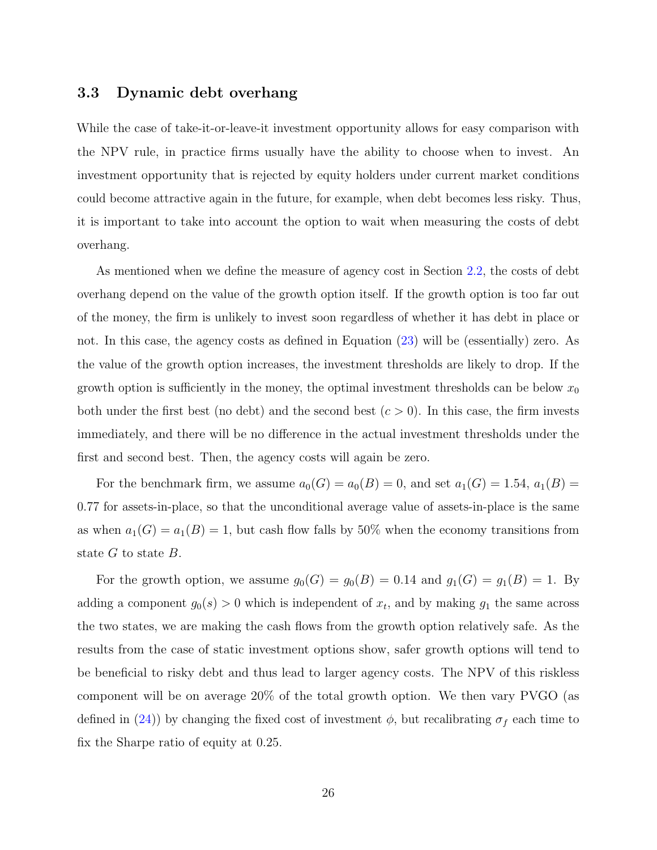## <span id="page-26-0"></span>3.3 Dynamic debt overhang

While the case of take-it-or-leave-it investment opportunity allows for easy comparison with the NPV rule, in practice firms usually have the ability to choose when to invest. An investment opportunity that is rejected by equity holders under current market conditions could become attractive again in the future, for example, when debt becomes less risky. Thus, it is important to take into account the option to wait when measuring the costs of debt overhang.

As mentioned when we define the measure of agency cost in Section [2.2,](#page-14-1) the costs of debt overhang depend on the value of the growth option itself. If the growth option is too far out of the money, the firm is unlikely to invest soon regardless of whether it has debt in place or not. In this case, the agency costs as defined in Equation [\(23\)](#page-17-0) will be (essentially) zero. As the value of the growth option increases, the investment thresholds are likely to drop. If the growth option is sufficiently in the money, the optimal investment thresholds can be below  $x_0$ both under the first best (no debt) and the second best  $(c > 0)$ . In this case, the firm invests immediately, and there will be no difference in the actual investment thresholds under the first and second best. Then, the agency costs will again be zero.

For the benchmark firm, we assume  $a_0(G) = a_0(B) = 0$ , and set  $a_1(G) = 1.54$ ,  $a_1(B) = 0$ 0.77 for assets-in-place, so that the unconditional average value of assets-in-place is the same as when  $a_1(G) = a_1(B) = 1$ , but cash flow falls by 50% when the economy transitions from state  $G$  to state  $B$ .

For the growth option, we assume  $g_0(G) = g_0(B) = 0.14$  and  $g_1(G) = g_1(B) = 1$ . By adding a component  $g_0(s) > 0$  which is independent of  $x_t$ , and by making  $g_1$  the same across the two states, we are making the cash flows from the growth option relatively safe. As the results from the case of static investment options show, safer growth options will tend to be beneficial to risky debt and thus lead to larger agency costs. The NPV of this riskless component will be on average 20% of the total growth option. We then vary PVGO (as defined in [\(24\)](#page-17-1)) by changing the fixed cost of investment  $\phi$ , but recalibrating  $\sigma_f$  each time to fix the Sharpe ratio of equity at 0.25.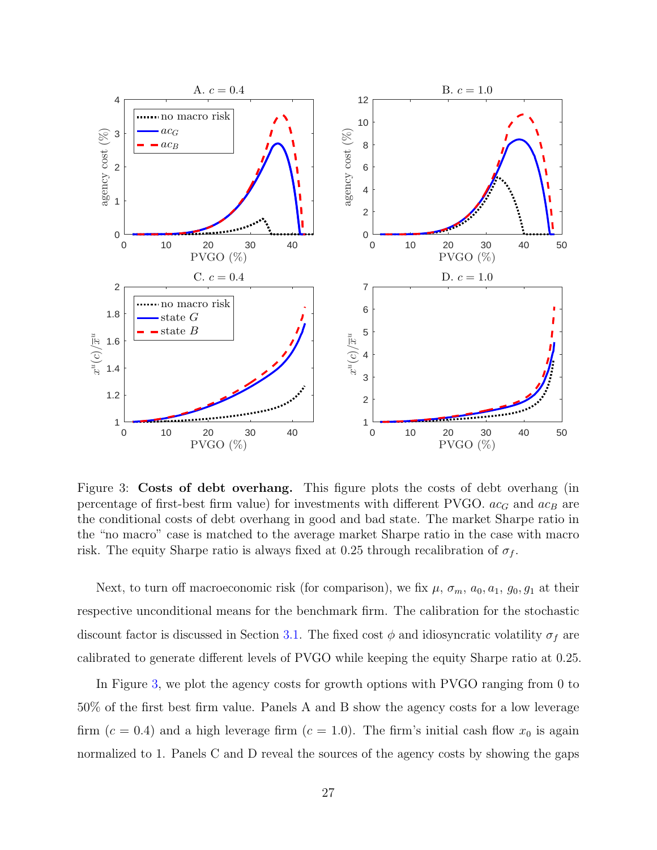

<span id="page-27-0"></span>Figure 3: Costs of debt overhang. This figure plots the costs of debt overhang (in percentage of first-best firm value) for investments with different PVGO.  $ac_G$  and  $ac_B$  are the conditional costs of debt overhang in good and bad state. The market Sharpe ratio in the "no macro" case is matched to the average market Sharpe ratio in the case with macro risk. The equity Sharpe ratio is always fixed at 0.25 through recalibration of  $\sigma_f$ .

Next, to turn off macroeconomic risk (for comparison), we fix  $\mu$ ,  $\sigma_m$ ,  $a_0$ ,  $a_1$ ,  $g_0$ ,  $g_1$  at their respective unconditional means for the benchmark firm. The calibration for the stochastic discount factor is discussed in Section [3.1.](#page-19-0) The fixed cost  $\phi$  and idiosyncratic volatility  $\sigma_f$  are calibrated to generate different levels of PVGO while keeping the equity Sharpe ratio at 0.25.

In Figure [3,](#page-27-0) we plot the agency costs for growth options with PVGO ranging from 0 to 50% of the first best firm value. Panels A and B show the agency costs for a low leverage firm  $(c = 0.4)$  and a high leverage firm  $(c = 1.0)$ . The firm's initial cash flow  $x_0$  is again normalized to 1. Panels C and D reveal the sources of the agency costs by showing the gaps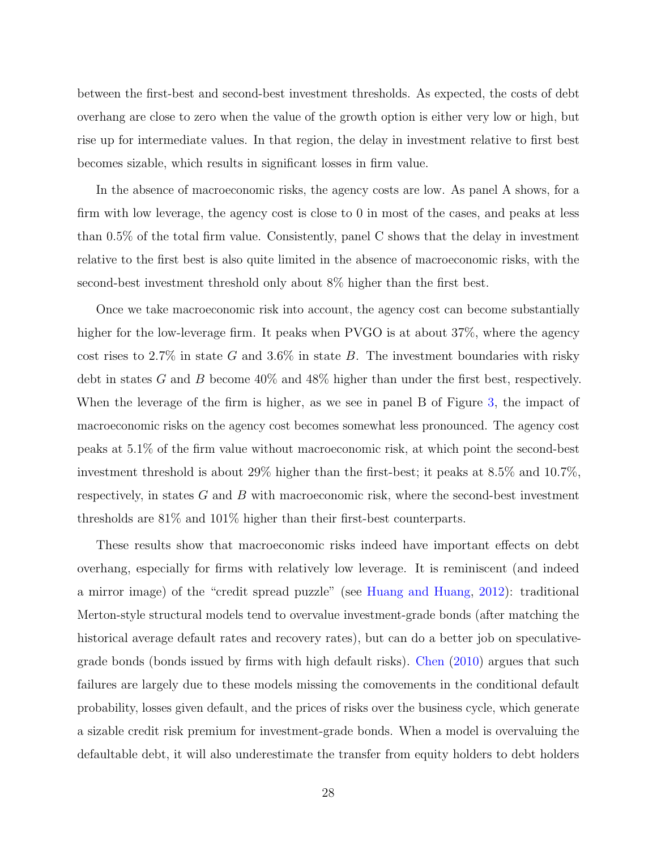between the first-best and second-best investment thresholds. As expected, the costs of debt overhang are close to zero when the value of the growth option is either very low or high, but rise up for intermediate values. In that region, the delay in investment relative to first best becomes sizable, which results in significant losses in firm value.

In the absence of macroeconomic risks, the agency costs are low. As panel A shows, for a firm with low leverage, the agency cost is close to 0 in most of the cases, and peaks at less than 0.5% of the total firm value. Consistently, panel C shows that the delay in investment relative to the first best is also quite limited in the absence of macroeconomic risks, with the second-best investment threshold only about 8% higher than the first best.

Once we take macroeconomic risk into account, the agency cost can become substantially higher for the low-leverage firm. It peaks when PVGO is at about 37%, where the agency cost rises to 2.7% in state  $G$  and 3.6% in state  $B$ . The investment boundaries with risky debt in states G and B become  $40\%$  and  $48\%$  higher than under the first best, respectively. When the leverage of the firm is higher, as we see in panel B of Figure [3,](#page-27-0) the impact of macroeconomic risks on the agency cost becomes somewhat less pronounced. The agency cost peaks at 5.1% of the firm value without macroeconomic risk, at which point the second-best investment threshold is about 29% higher than the first-best; it peaks at 8.5% and 10.7%, respectively, in states  $G$  and  $B$  with macroeconomic risk, where the second-best investment thresholds are 81% and 101% higher than their first-best counterparts.

These results show that macroeconomic risks indeed have important effects on debt overhang, especially for firms with relatively low leverage. It is reminiscent (and indeed a mirror image) of the "credit spread puzzle" (see [Huang and Huang,](#page-46-9) [2012\)](#page-46-9): traditional Merton-style structural models tend to overvalue investment-grade bonds (after matching the historical average default rates and recovery rates), but can do a better job on speculativegrade bonds (bonds issued by firms with high default risks). [Chen](#page-44-3) [\(2010\)](#page-44-3) argues that such failures are largely due to these models missing the comovements in the conditional default probability, losses given default, and the prices of risks over the business cycle, which generate a sizable credit risk premium for investment-grade bonds. When a model is overvaluing the defaultable debt, it will also underestimate the transfer from equity holders to debt holders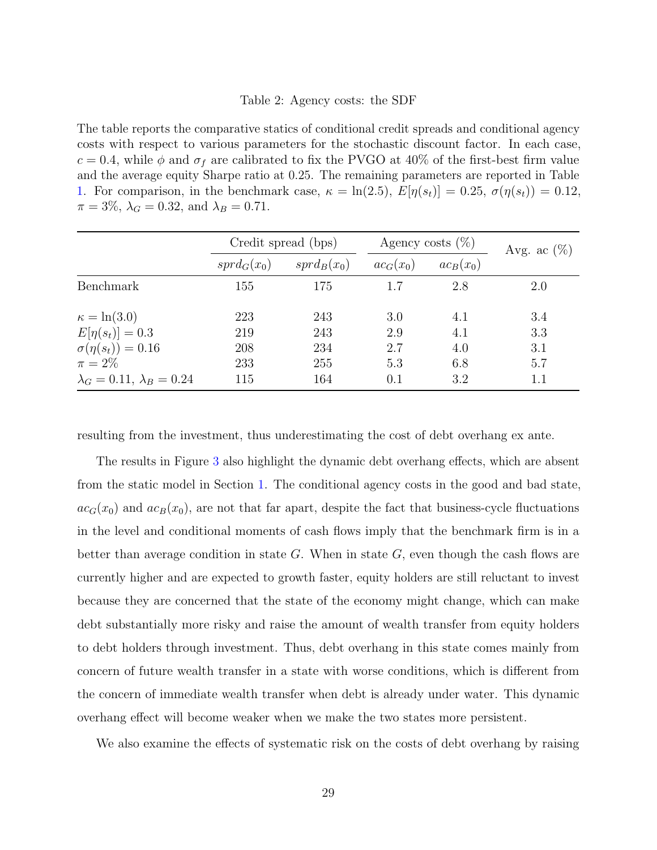#### <span id="page-29-0"></span>Table 2: Agency costs: the SDF

The table reports the comparative statics of conditional credit spreads and conditional agency costs with respect to various parameters for the stochastic discount factor. In each case,  $c = 0.4$ , while  $\phi$  and  $\sigma_f$  are calibrated to fix the PVGO at 40% of the first-best firm value and the average equity Sharpe ratio at 0.25. The remaining parameters are reported in Table [1.](#page-21-0) For comparison, in the benchmark case,  $\kappa = \ln(2.5), E[\eta(s_t)] = 0.25, \sigma(\eta(s_t)) = 0.12$ ,  $\pi = 3\%, \lambda_G = 0.32, \text{ and } \lambda_B = 0.71.$ 

|                                      | Credit spread (bps) |               | Agency costs $(\%)$ |             | Avg. ac $(\%)$ |
|--------------------------------------|---------------------|---------------|---------------------|-------------|----------------|
|                                      | $sprd_G(x_0)$       | $sprd_B(x_0)$ | $ac_G(x_0)$         | $ac_B(x_0)$ |                |
| Benchmark                            | 155                 | 175           | $1.7\,$             | 2.8         | 2.0            |
| $\kappa = \ln(3.0)$                  | 223                 | 243           | 3.0                 | 4.1         | 3.4            |
| $E[\eta(s_t)] = 0.3$                 | 219                 | 243           | 2.9                 | 4.1         | 3.3            |
| $\sigma(\eta(s_t)) = 0.16$           | 208                 | 234           | 2.7                 | 4.0         | 3.1            |
| $\pi=2\%$                            | 233                 | 255           | 5.3                 | 6.8         | 5.7            |
| $\lambda_G = 0.11, \lambda_B = 0.24$ | 115                 | 164           | 0.1                 | 3.2         | 1.1            |

resulting from the investment, thus underestimating the cost of debt overhang ex ante.

The results in Figure [3](#page-27-0) also highlight the dynamic debt overhang effects, which are absent from the static model in Section [1.](#page-6-0) The conditional agency costs in the good and bad state,  $ac<sub>G</sub>(x<sub>0</sub>)$  and  $ac<sub>B</sub>(x<sub>0</sub>)$ , are not that far apart, despite the fact that business-cycle fluctuations in the level and conditional moments of cash flows imply that the benchmark firm is in a better than average condition in state  $G$ . When in state  $G$ , even though the cash flows are currently higher and are expected to growth faster, equity holders are still reluctant to invest because they are concerned that the state of the economy might change, which can make debt substantially more risky and raise the amount of wealth transfer from equity holders to debt holders through investment. Thus, debt overhang in this state comes mainly from concern of future wealth transfer in a state with worse conditions, which is different from the concern of immediate wealth transfer when debt is already under water. This dynamic overhang effect will become weaker when we make the two states more persistent.

We also examine the effects of systematic risk on the costs of debt overhang by raising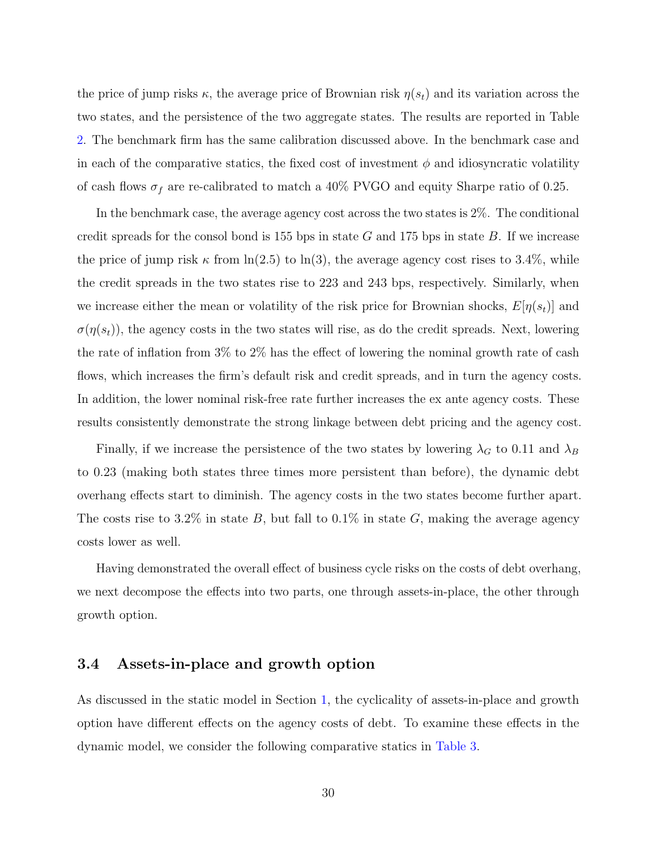the price of jump risks  $\kappa$ , the average price of Brownian risk  $\eta(s_t)$  and its variation across the two states, and the persistence of the two aggregate states. The results are reported in Table [2.](#page-29-0) The benchmark firm has the same calibration discussed above. In the benchmark case and in each of the comparative statics, the fixed cost of investment  $\phi$  and idiosyncratic volatility of cash flows  $\sigma_f$  are re-calibrated to match a 40% PVGO and equity Sharpe ratio of 0.25.

In the benchmark case, the average agency cost across the two states is 2%. The conditional credit spreads for the consol bond is 155 bps in state G and 175 bps in state B. If we increase the price of jump risk  $\kappa$  from  $\ln(2.5)$  to  $\ln(3)$ , the average agency cost rises to 3.4%, while the credit spreads in the two states rise to 223 and 243 bps, respectively. Similarly, when we increase either the mean or volatility of the risk price for Brownian shocks,  $E[\eta(s_t)]$  and  $\sigma(\eta(s_t))$ , the agency costs in the two states will rise, as do the credit spreads. Next, lowering the rate of inflation from 3% to 2% has the effect of lowering the nominal growth rate of cash flows, which increases the firm's default risk and credit spreads, and in turn the agency costs. In addition, the lower nominal risk-free rate further increases the ex ante agency costs. These results consistently demonstrate the strong linkage between debt pricing and the agency cost.

Finally, if we increase the persistence of the two states by lowering  $\lambda_G$  to 0.11 and  $\lambda_B$ to 0.23 (making both states three times more persistent than before), the dynamic debt overhang effects start to diminish. The agency costs in the two states become further apart. The costs rise to 3.2% in state B, but fall to 0.1% in state G, making the average agency costs lower as well.

Having demonstrated the overall effect of business cycle risks on the costs of debt overhang, we next decompose the effects into two parts, one through assets-in-place, the other through growth option.

### <span id="page-30-0"></span>3.4 Assets-in-place and growth option

As discussed in the static model in Section [1,](#page-6-0) the cyclicality of assets-in-place and growth option have different effects on the agency costs of debt. To examine these effects in the dynamic model, we consider the following comparative statics in [Table 3.](#page-31-0)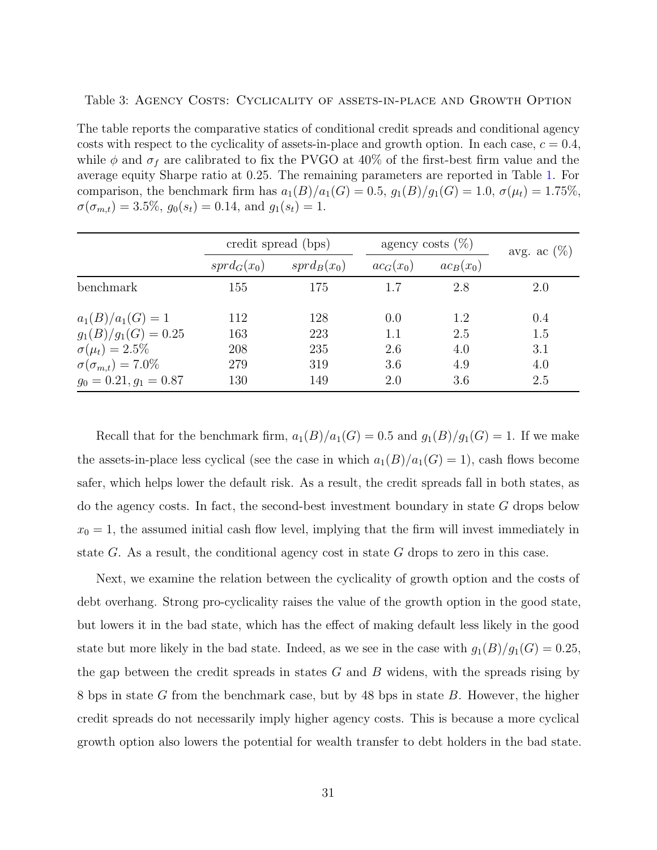#### <span id="page-31-0"></span>Table 3: Agency Costs: Cyclicality of assets-in-place and Growth Option

The table reports the comparative statics of conditional credit spreads and conditional agency costs with respect to the cyclicality of assets-in-place and growth option. In each case,  $c = 0.4$ , while  $\phi$  and  $\sigma_f$  are calibrated to fix the PVGO at 40% of the first-best firm value and the average equity Sharpe ratio at 0.25. The remaining parameters are reported in Table [1.](#page-21-0) For comparison, the benchmark firm has  $a_1(B)/a_1(G) = 0.5$ ,  $g_1(B)/g_1(G) = 1.0$ ,  $\sigma(\mu_t) = 1.75\%$ ,  $\sigma(\sigma_{m,t}) = 3.5\%, g_0(s_t) = 0.14$ , and  $g_1(s_t) = 1$ .

|                                | credit spread (bps) |               | agency costs $(\%)$ |             | avg. ac $(\%)$ |
|--------------------------------|---------------------|---------------|---------------------|-------------|----------------|
|                                | $spr d_G(x_0)$      | $sprd_B(x_0)$ | $ac_G(x_0)$         | $ac_B(x_0)$ |                |
| benchmark                      | 155                 | 175           | 1.7                 | 2.8         | 2.0            |
| $a_1(B)/a_1(G) = 1$            | 112                 | 128           | 0.0                 | 1.2         | 0.4            |
| $g_1(B)/g_1(G) = 0.25$         | 163                 | 223           | 1.1                 | 2.5         | 1.5            |
| $\sigma(\mu_t) = 2.5\%$        | 208                 | 235           | 2.6                 | 4.0         | 3.1            |
| $\sigma(\sigma_{m,t}) = 7.0\%$ | 279                 | 319           | 3.6                 | 4.9         | 4.0            |
| $q_0 = 0.21, q_1 = 0.87$       | 130                 | 149           | 2.0                 | 3.6         | 2.5            |

Recall that for the benchmark firm,  $a_1(B)/a_1(G) = 0.5$  and  $g_1(B)/g_1(G) = 1$ . If we make the assets-in-place less cyclical (see the case in which  $a_1(B)/a_1(G) = 1$ ), cash flows become safer, which helps lower the default risk. As a result, the credit spreads fall in both states, as do the agency costs. In fact, the second-best investment boundary in state G drops below  $x_0 = 1$ , the assumed initial cash flow level, implying that the firm will invest immediately in state  $G$ . As a result, the conditional agency cost in state  $G$  drops to zero in this case.

Next, we examine the relation between the cyclicality of growth option and the costs of debt overhang. Strong pro-cyclicality raises the value of the growth option in the good state, but lowers it in the bad state, which has the effect of making default less likely in the good state but more likely in the bad state. Indeed, as we see in the case with  $g_1(B)/g_1(G) = 0.25$ , the gap between the credit spreads in states  $G$  and  $B$  widens, with the spreads rising by 8 bps in state G from the benchmark case, but by 48 bps in state B. However, the higher credit spreads do not necessarily imply higher agency costs. This is because a more cyclical growth option also lowers the potential for wealth transfer to debt holders in the bad state.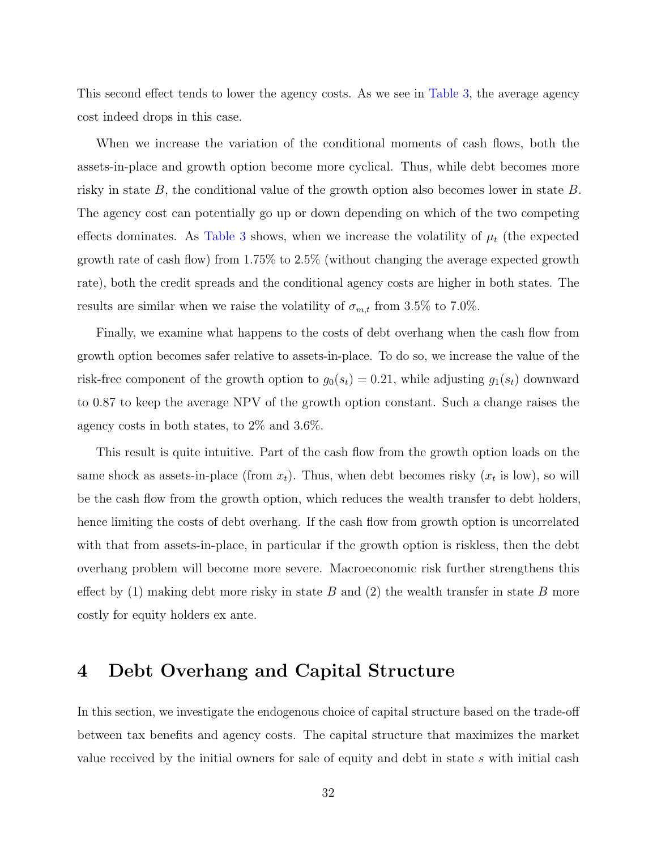This second effect tends to lower the agency costs. As we see in [Table 3,](#page-31-0) the average agency cost indeed drops in this case.

When we increase the variation of the conditional moments of cash flows, both the assets-in-place and growth option become more cyclical. Thus, while debt becomes more risky in state B, the conditional value of the growth option also becomes lower in state B. The agency cost can potentially go up or down depending on which of the two competing effects dominates. As [Table 3](#page-31-0) shows, when we increase the volatility of  $\mu_t$  (the expected growth rate of cash flow) from 1.75% to 2.5% (without changing the average expected growth rate), both the credit spreads and the conditional agency costs are higher in both states. The results are similar when we raise the volatility of  $\sigma_{m,t}$  from 3.5% to 7.0%.

Finally, we examine what happens to the costs of debt overhang when the cash flow from growth option becomes safer relative to assets-in-place. To do so, we increase the value of the risk-free component of the growth option to  $g_0(s_t) = 0.21$ , while adjusting  $g_1(s_t)$  downward to 0.87 to keep the average NPV of the growth option constant. Such a change raises the agency costs in both states, to 2% and 3.6%.

This result is quite intuitive. Part of the cash flow from the growth option loads on the same shock as assets-in-place (from  $x_t$ ). Thus, when debt becomes risky  $(x_t$  is low), so will be the cash flow from the growth option, which reduces the wealth transfer to debt holders, hence limiting the costs of debt overhang. If the cash flow from growth option is uncorrelated with that from assets-in-place, in particular if the growth option is riskless, then the debt overhang problem will become more severe. Macroeconomic risk further strengthens this effect by  $(1)$  making debt more risky in state B and  $(2)$  the wealth transfer in state B more costly for equity holders ex ante.

## <span id="page-32-0"></span>4 Debt Overhang and Capital Structure

In this section, we investigate the endogenous choice of capital structure based on the trade-off between tax benefits and agency costs. The capital structure that maximizes the market value received by the initial owners for sale of equity and debt in state s with initial cash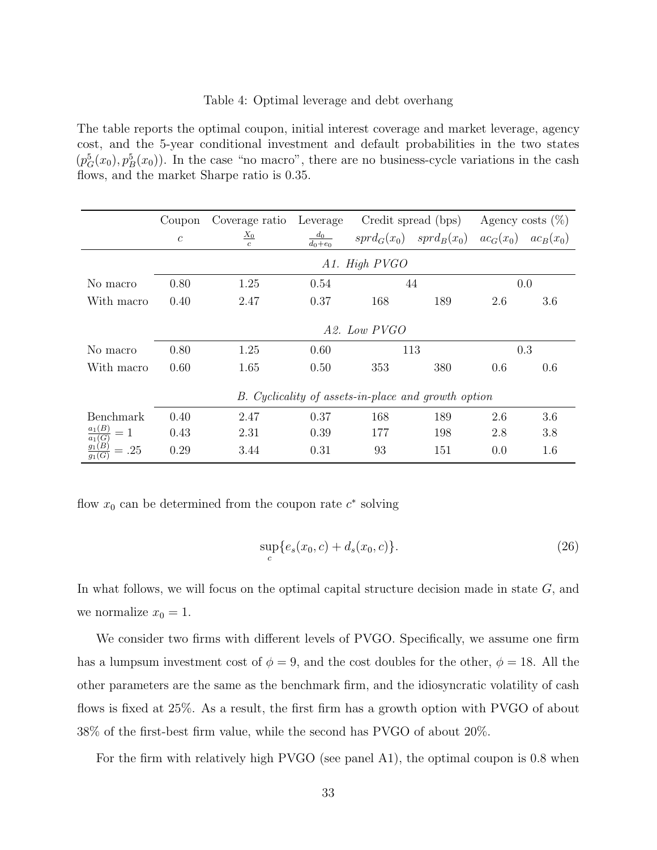#### <span id="page-33-0"></span>Table 4: Optimal leverage and debt overhang

The table reports the optimal coupon, initial interest coverage and market leverage, agency cost, and the 5-year conditional investment and default probabilities in the two states  $(p_G^5(x_0), p_B^5(x_0))$ . In the case "no macro", there are no business-cycle variations in the cash flows, and the market Sharpe ratio is 0.35.

|                                                           | Coupon                                              | Coverage ratio  | Leverage                      | Credit spread (bps) |               | Agency costs $(\%)$ |             |  |
|-----------------------------------------------------------|-----------------------------------------------------|-----------------|-------------------------------|---------------------|---------------|---------------------|-------------|--|
|                                                           | $\mathcal{C}$                                       | $\frac{X_0}{c}$ | $d_0$<br>$\overline{d_0+e_0}$ | $spr d_G(x_0)$      | $sprd_B(x_0)$ | $ac_G(x_0)$         | $ac_B(x_0)$ |  |
|                                                           | A1. High PVGO                                       |                 |                               |                     |               |                     |             |  |
| No macro                                                  | 0.80                                                | 1.25            | 0.54                          | 44                  |               | 0.0                 |             |  |
| With macro                                                | 0.40                                                | 2.47            | 0.37                          | 168                 | 189           | 2.6                 | 3.6         |  |
|                                                           | A2. Low PVGO                                        |                 |                               |                     |               |                     |             |  |
| No macro                                                  | 0.80                                                | 1.25            | 0.60                          | 113                 |               | 0.3                 |             |  |
| With macro                                                | 0.60                                                | 1.65            | 0.50                          | 353                 | 380           | 0.6                 | 0.6         |  |
|                                                           | B. Cyclicality of assets-in-place and growth option |                 |                               |                     |               |                     |             |  |
| Benchmark                                                 | 0.40                                                | 2.47            | 0.37                          | 168                 | 189           | 2.6                 | 3.6         |  |
| $=1$                                                      | 0.43                                                | 2.31            | 0.39                          | 177                 | 198           | 2.8                 | 3.8         |  |
| $\frac{a_1(B)}{a_1(G)}\\ \frac{g_1(B)}{g_1(G)}$<br>$=.25$ | 0.29                                                | 3.44            | 0.31                          | 93                  | 151           | 0.0                 | 1.6         |  |

flow  $x_0$  can be determined from the coupon rate  $c^*$  solving

$$
\sup_{c} \{e_s(x_0, c) + d_s(x_0, c)\}.
$$
\n(26)

In what follows, we will focus on the optimal capital structure decision made in state  $G$ , and we normalize  $x_0 = 1$ .

We consider two firms with different levels of PVGO. Specifically, we assume one firm has a lumpsum investment cost of  $\phi = 9$ , and the cost doubles for the other,  $\phi = 18$ . All the other parameters are the same as the benchmark firm, and the idiosyncratic volatility of cash flows is fixed at 25%. As a result, the first firm has a growth option with PVGO of about 38% of the first-best firm value, while the second has PVGO of about 20%.

For the firm with relatively high PVGO (see panel A1), the optimal coupon is 0.8 when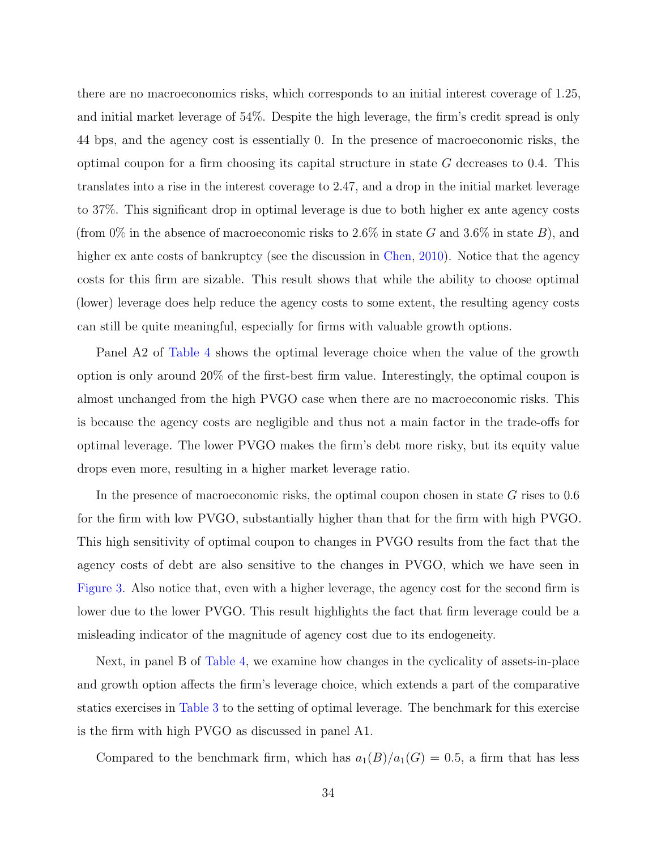there are no macroeconomics risks, which corresponds to an initial interest coverage of 1.25, and initial market leverage of 54%. Despite the high leverage, the firm's credit spread is only 44 bps, and the agency cost is essentially 0. In the presence of macroeconomic risks, the optimal coupon for a firm choosing its capital structure in state  $G$  decreases to 0.4. This translates into a rise in the interest coverage to 2.47, and a drop in the initial market leverage to 37%. This significant drop in optimal leverage is due to both higher ex ante agency costs (from  $0\%$  in the absence of macroeconomic risks to 2.6% in state G and 3.6% in state B), and higher ex ante costs of bankruptcy (see the discussion in [Chen,](#page-44-3) [2010\)](#page-44-3). Notice that the agency costs for this firm are sizable. This result shows that while the ability to choose optimal (lower) leverage does help reduce the agency costs to some extent, the resulting agency costs can still be quite meaningful, especially for firms with valuable growth options.

Panel A2 of [Table 4](#page-33-0) shows the optimal leverage choice when the value of the growth option is only around 20% of the first-best firm value. Interestingly, the optimal coupon is almost unchanged from the high PVGO case when there are no macroeconomic risks. This is because the agency costs are negligible and thus not a main factor in the trade-offs for optimal leverage. The lower PVGO makes the firm's debt more risky, but its equity value drops even more, resulting in a higher market leverage ratio.

In the presence of macroeconomic risks, the optimal coupon chosen in state  $G$  rises to 0.6 for the firm with low PVGO, substantially higher than that for the firm with high PVGO. This high sensitivity of optimal coupon to changes in PVGO results from the fact that the agency costs of debt are also sensitive to the changes in PVGO, which we have seen in [Figure 3.](#page-27-0) Also notice that, even with a higher leverage, the agency cost for the second firm is lower due to the lower PVGO. This result highlights the fact that firm leverage could be a misleading indicator of the magnitude of agency cost due to its endogeneity.

Next, in panel B of [Table 4,](#page-33-0) we examine how changes in the cyclicality of assets-in-place and growth option affects the firm's leverage choice, which extends a part of the comparative statics exercises in [Table 3](#page-31-0) to the setting of optimal leverage. The benchmark for this exercise is the firm with high PVGO as discussed in panel A1.

Compared to the benchmark firm, which has  $a_1(B)/a_1(G) = 0.5$ , a firm that has less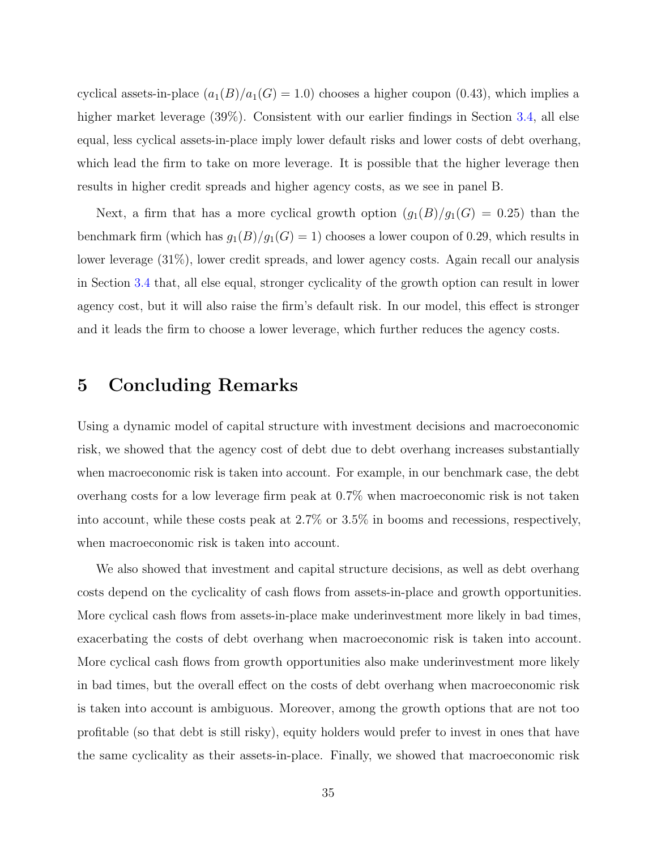cyclical assets-in-place  $(a_1(B)/a_1(G) = 1.0)$  chooses a higher coupon (0.43), which implies a higher market leverage (39%). Consistent with our earlier findings in Section [3.4,](#page-30-0) all else equal, less cyclical assets-in-place imply lower default risks and lower costs of debt overhang, which lead the firm to take on more leverage. It is possible that the higher leverage then results in higher credit spreads and higher agency costs, as we see in panel B.

Next, a firm that has a more cyclical growth option  $(g_1(B)/g_1(G) = 0.25)$  than the benchmark firm (which has  $g_1(B)/g_1(G) = 1$ ) chooses a lower coupon of 0.29, which results in lower leverage (31%), lower credit spreads, and lower agency costs. Again recall our analysis in Section [3.4](#page-30-0) that, all else equal, stronger cyclicality of the growth option can result in lower agency cost, but it will also raise the firm's default risk. In our model, this effect is stronger and it leads the firm to choose a lower leverage, which further reduces the agency costs.

## 5 Concluding Remarks

Using a dynamic model of capital structure with investment decisions and macroeconomic risk, we showed that the agency cost of debt due to debt overhang increases substantially when macroeconomic risk is taken into account. For example, in our benchmark case, the debt overhang costs for a low leverage firm peak at 0.7% when macroeconomic risk is not taken into account, while these costs peak at 2.7% or 3.5% in booms and recessions, respectively, when macroeconomic risk is taken into account.

We also showed that investment and capital structure decisions, as well as debt overhang costs depend on the cyclicality of cash flows from assets-in-place and growth opportunities. More cyclical cash flows from assets-in-place make underinvestment more likely in bad times, exacerbating the costs of debt overhang when macroeconomic risk is taken into account. More cyclical cash flows from growth opportunities also make underinvestment more likely in bad times, but the overall effect on the costs of debt overhang when macroeconomic risk is taken into account is ambiguous. Moreover, among the growth options that are not too profitable (so that debt is still risky), equity holders would prefer to invest in ones that have the same cyclicality as their assets-in-place. Finally, we showed that macroeconomic risk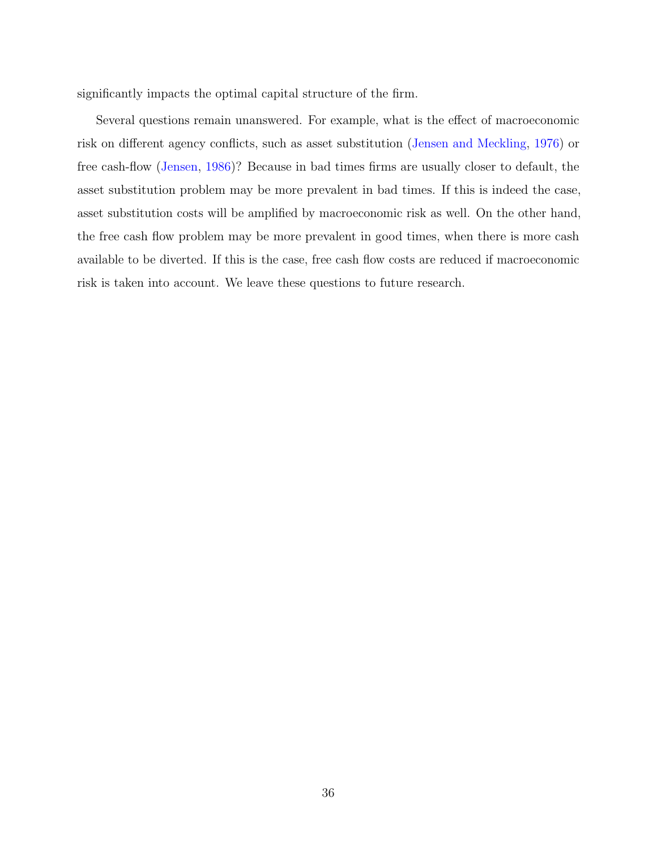significantly impacts the optimal capital structure of the firm.

Several questions remain unanswered. For example, what is the effect of macroeconomic risk on different agency conflicts, such as asset substitution [\(Jensen and Meckling,](#page-46-8) [1976\)](#page-46-8) or free cash-flow [\(Jensen,](#page-46-10) [1986\)](#page-46-10)? Because in bad times firms are usually closer to default, the asset substitution problem may be more prevalent in bad times. If this is indeed the case, asset substitution costs will be amplified by macroeconomic risk as well. On the other hand, the free cash flow problem may be more prevalent in good times, when there is more cash available to be diverted. If this is the case, free cash flow costs are reduced if macroeconomic risk is taken into account. We leave these questions to future research.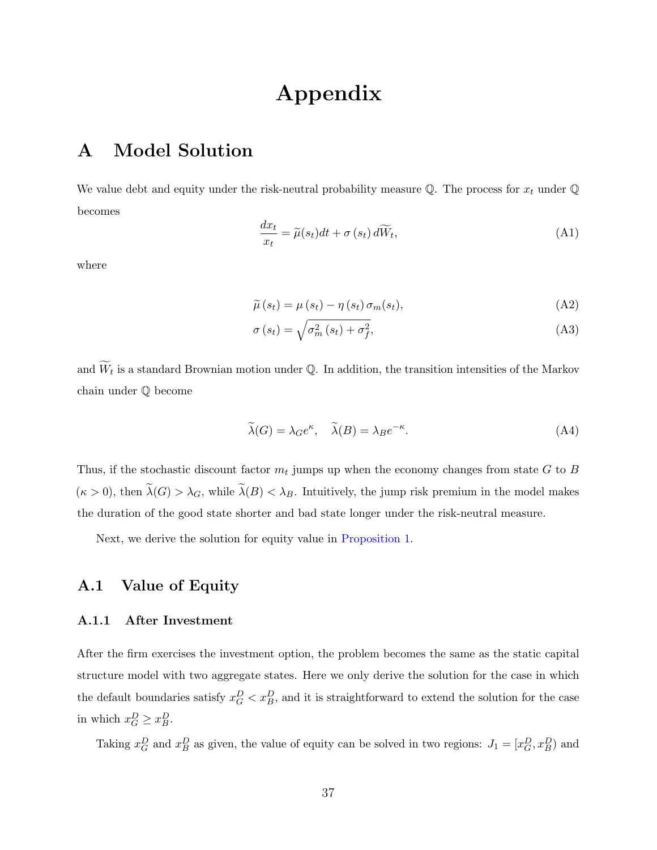# Appendix

## <span id="page-37-0"></span>A Model Solution

We value debt and equity under the risk-neutral probability measure  $\mathbb Q$ . The process for  $x_t$  under  $\mathbb Q$ becomes

$$
\frac{dx_t}{x_t} = \widetilde{\mu}(s_t)dt + \sigma(s_t)\,d\widetilde{W}_t,\tag{A1}
$$

where

$$
\widetilde{\mu}(s_t) = \mu(s_t) - \eta(s_t)\sigma_m(s_t),
$$
\n(A2)

$$
\sigma(s_t) = \sqrt{\sigma_m^2(s_t) + \sigma_f^2},\tag{A3}
$$

and  $\widetilde{W}_t$  is a standard Brownian motion under Q. In addition, the transition intensities of the Markov chain under Q become

$$
\widetilde{\lambda}(G) = \lambda_G e^{\kappa}, \quad \widetilde{\lambda}(B) = \lambda_B e^{-\kappa}.
$$
\n(A4)

Thus, if the stochastic discount factor  $m_t$  jumps up when the economy changes from state G to B  $(\kappa > 0)$ , then  $\tilde{\lambda}(G) > \lambda_G$ , while  $\tilde{\lambda}(B) < \lambda_B$ . Intuitively, the jump risk premium in the model makes the duration of the good state shorter and bad state longer under the risk-neutral measure.

Next, we derive the solution for equity value in [Proposition 1.](#page-15-2)

## A.1 Value of Equity

### A.1.1 After Investment

After the firm exercises the investment option, the problem becomes the same as the static capital structure model with two aggregate states. Here we only derive the solution for the case in which the default boundaries satisfy  $x_G^D < x_B^D$ , and it is straightforward to extend the solution for the case in which  $x_G^D \ge x_B^D$ .

Taking  $x_G^D$  and  $x_B^D$  as given, the value of equity can be solved in two regions:  $J_1 = [x_G^D, x_B^D)$  and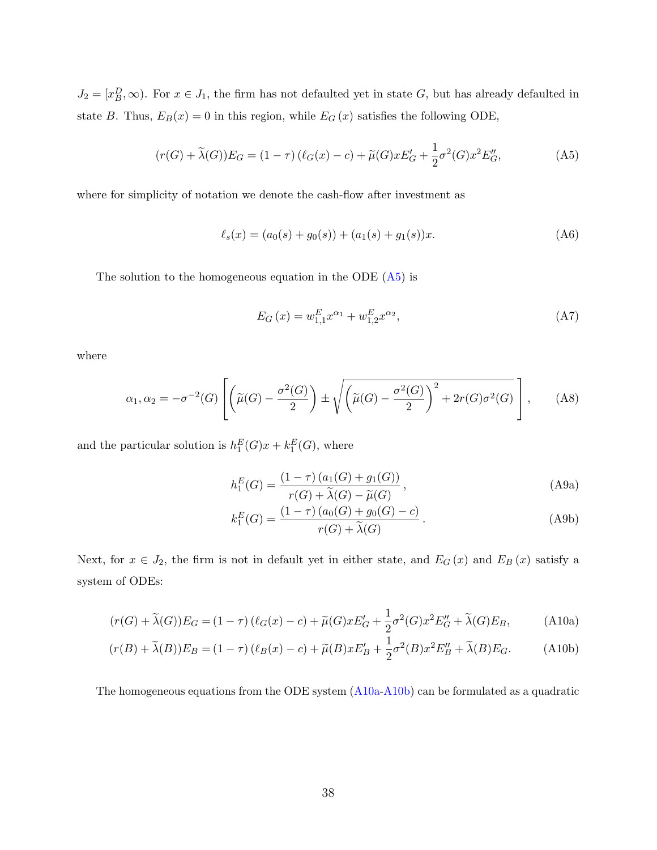$J_2 = [x_B^D, \infty)$ . For  $x \in J_1$ , the firm has not defaulted yet in state G, but has already defaulted in state B. Thus,  $E_B(x) = 0$  in this region, while  $E_G(x)$  satisfies the following ODE,

<span id="page-38-0"></span>
$$
(r(G) + \tilde{\lambda}(G))E_G = (1 - \tau)(\ell_G(x) - c) + \tilde{\mu}(G)xE'_G + \frac{1}{2}\sigma^2(G)x^2E''_G,
$$
 (A5)

where for simplicity of notation we denote the cash-flow after investment as

$$
\ell_s(x) = (a_0(s) + g_0(s)) + (a_1(s) + g_1(s))x.
$$
 (A6)

The solution to the homogeneous equation in the ODE  $(A5)$  is

$$
E_G(x) = w_{1,1}^E x^{\alpha_1} + w_{1,2}^E x^{\alpha_2}, \tag{A7}
$$

where

$$
\alpha_1, \alpha_2 = -\sigma^{-2}(G) \left[ \left( \widetilde{\mu}(G) - \frac{\sigma^2(G)}{2} \right) \pm \sqrt{\left( \widetilde{\mu}(G) - \frac{\sigma^2(G)}{2} \right)^2 + 2r(G)\sigma^2(G)} \right], \quad (A8)
$$

and the particular solution is  $h_1^E(G)x + k_1^E(G)$ , where

$$
h_1^E(G) = \frac{(1-\tau)(a_1(G) + g_1(G))}{r(G) + \widetilde{\lambda}(G) - \widetilde{\mu}(G)},
$$
\n(A9a)

<span id="page-38-2"></span><span id="page-38-1"></span>
$$
k_1^E(G) = \frac{(1 - \tau) (a_0(G) + g_0(G) - c)}{r(G) + \tilde{\lambda}(G)}.
$$
 (A9b)

Next, for  $x \in J_2$ , the firm is not in default yet in either state, and  $E_G(x)$  and  $E_B(x)$  satisfy a system of ODEs:

$$
(r(G) + \widetilde{\lambda}(G))E_G = (1 - \tau)\left(\ell_G(x) - c\right) + \widetilde{\mu}(G)xE'_G + \frac{1}{2}\sigma^2(G)x^2E''_G + \widetilde{\lambda}(G)E_B,\tag{A10a}
$$

$$
(r(B) + \widetilde{\lambda}(B))E_B = (1 - \tau)(\ell_B(x) - c) + \widetilde{\mu}(B)xE'_B + \frac{1}{2}\sigma^2(B)x^2E''_B + \widetilde{\lambda}(B)E_G.
$$
 (A10b)

The homogeneous equations from the ODE system [\(A10a-](#page-38-1)[A10b\)](#page-38-2) can be formulated as a quadratic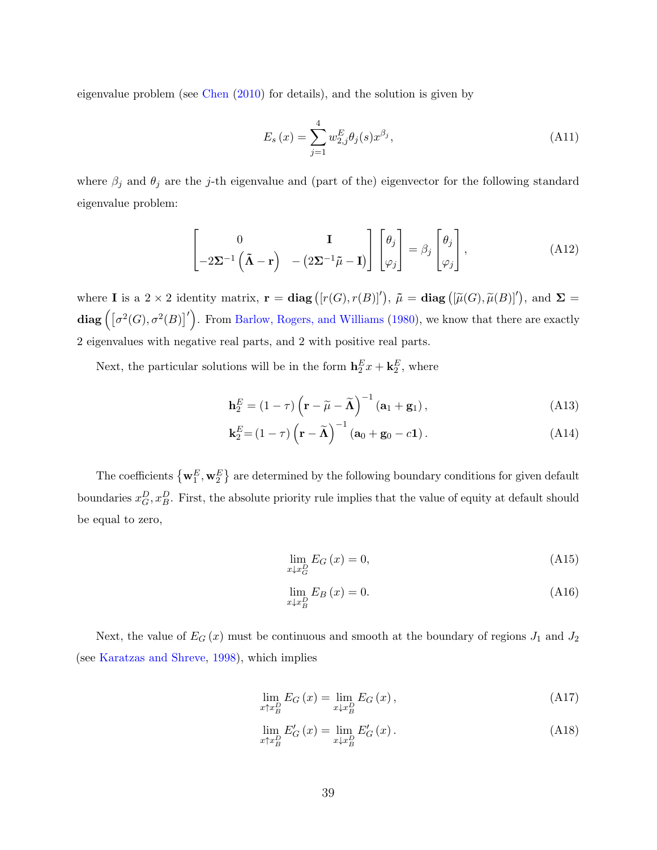eigenvalue problem (see [Chen](#page-44-3) [\(2010\)](#page-44-3) for details), and the solution is given by

$$
E_s(x) = \sum_{j=1}^{4} w_{2,j}^E \theta_j(s) x^{\beta_j},
$$
\n(A11)

where  $\beta_j$  and  $\theta_j$  are the j-th eigenvalue and (part of the) eigenvector for the following standard eigenvalue problem:

$$
\begin{bmatrix} 0 & \mathbf{I} \\ -2\boldsymbol{\Sigma}^{-1} \left( \tilde{\mathbf{\Lambda}} - \mathbf{r} \right) & -\left( 2\boldsymbol{\Sigma}^{-1}\tilde{\boldsymbol{\mu}} - \mathbf{I} \right) \end{bmatrix} \begin{bmatrix} \theta_j \\ \varphi_j \end{bmatrix} = \beta_j \begin{bmatrix} \theta_j \\ \varphi_j \end{bmatrix}, \tag{A12}
$$

where **I** is a 2 × 2 identity matrix,  $\mathbf{r} = \text{diag}([r(G), r(B)]'), \tilde{\mu} = \text{diag}([\tilde{\mu}(G), \tilde{\mu}(B)]'), \text{ and } \Sigma =$  $\text{diag}\left(\left[\sigma^2(G), \sigma^2(B)\right]^{\prime}\right)$ . From [Barlow, Rogers, and Williams](#page-44-10) [\(1980\)](#page-44-10), we know that there are exactly 2 eigenvalues with negative real parts, and 2 with positive real parts.

Next, the particular solutions will be in the form  $\mathbf{h}_2^E x + \mathbf{k}_2^E$ , where

$$
\mathbf{h}_2^E = (1 - \tau) \left( \mathbf{r} - \widetilde{\mu} - \widetilde{\mathbf{\Lambda}} \right)^{-1} \left( \mathbf{a}_1 + \mathbf{g}_1 \right), \tag{A13}
$$

$$
\mathbf{k}_{2}^{E} = (1 - \tau) \left( \mathbf{r} - \widetilde{\mathbf{\Lambda}} \right)^{-1} \left( \mathbf{a}_{0} + \mathbf{g}_{0} - c \mathbf{1} \right). \tag{A14}
$$

The coefficients  $\{\mathbf{w}_1^E, \mathbf{w}_2^E\}$  are determined by the following boundary conditions for given default boundaries  $x_G^D, x_B^D$ . First, the absolute priority rule implies that the value of equity at default should be equal to zero,

<span id="page-39-0"></span>
$$
\lim_{x \downarrow x_G^D} E_G(x) = 0,\tag{A15}
$$

$$
\lim_{x \downarrow x_B^D} E_B(x) = 0. \tag{A16}
$$

Next, the value of  $E_G(x)$  must be continuous and smooth at the boundary of regions  $J_1$  and  $J_2$ (see [Karatzas and Shreve,](#page-46-11) [1998\)](#page-46-11), which implies

$$
\lim_{x \uparrow x_B^D} E_G(x) = \lim_{x \downarrow x_B^D} E_G(x), \tag{A17}
$$

$$
\lim_{x \uparrow x_B^D} E_G'(x) = \lim_{x \downarrow x_B^D} E_G'(x). \tag{A18}
$$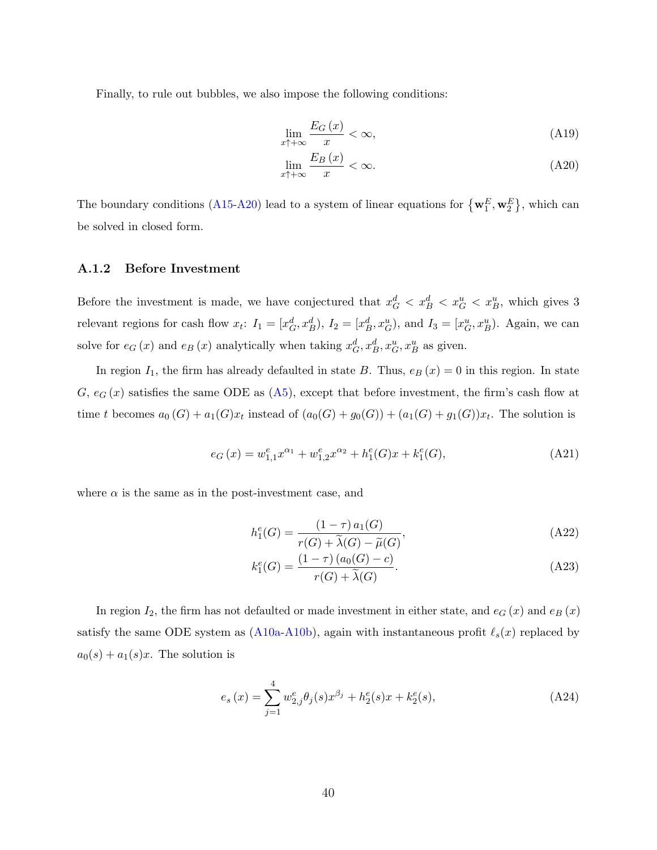Finally, to rule out bubbles, we also impose the following conditions:

<span id="page-40-0"></span>
$$
\lim_{x \uparrow +\infty} \frac{E_G(x)}{x} < \infty,\tag{A19}
$$

$$
\lim_{x \uparrow +\infty} \frac{E_B(x)}{x} < \infty. \tag{A20}
$$

The boundary conditions [\(A15-](#page-39-0)[A20\)](#page-40-0) lead to a system of linear equations for  $\{w_1^E, w_2^E\}$ , which can be solved in closed form.

#### A.1.2 Before Investment

Before the investment is made, we have conjectured that  $x_G^d < x_B^d < x_G^u < x_B^u$ , which gives 3 relevant regions for cash flow  $x_t$ :  $I_1 = [x_G^d, x_B^d), I_2 = [x_B^d, x_G^u)$ , and  $I_3 = [x_G^u, x_B^u)$ . Again, we can solve for  $e_G(x)$  and  $e_B(x)$  analytically when taking  $x_G^d, x_B^d, x_G^u, x_B^u$  as given.

In region  $I_1$ , the firm has already defaulted in state B. Thus,  $e_B(x) = 0$  in this region. In state G,  $e_G(x)$  satisfies the same ODE as  $(A5)$ , except that before investment, the firm's cash flow at time t becomes  $a_0(G) + a_1(G)x_t$  instead of  $(a_0(G) + g_0(G)) + (a_1(G) + g_1(G))x_t$ . The solution is

$$
e_G(x) = w_{1,1}^e x^{\alpha_1} + w_{1,2}^e x^{\alpha_2} + h_1^e(G)x + k_1^e(G), \tag{A21}
$$

where  $\alpha$  is the same as in the post-investment case, and

$$
h_1^e(G) = \frac{(1-\tau) a_1(G)}{r(G) + \widetilde{\lambda}(G) - \widetilde{\mu}(G)},
$$
\n(A22)

$$
k_1^e(G) = \frac{(1-\tau)(a_0(G)-c)}{r(G)+\widetilde{\lambda}(G)}.\tag{A23}
$$

In region  $I_2$ , the firm has not defaulted or made investment in either state, and  $e_G(x)$  and  $e_B(x)$ satisfy the same ODE system as  $(A10a-A10b)$  $(A10a-A10b)$ , again with instantaneous profit  $\ell_s(x)$  replaced by  $a_0(s) + a_1(s)x$ . The solution is

$$
e_s(x) = \sum_{j=1}^{4} w_{2,j}^e \theta_j(s) x^{\beta_j} + h_2^e(s) x + k_2^e(s), \tag{A24}
$$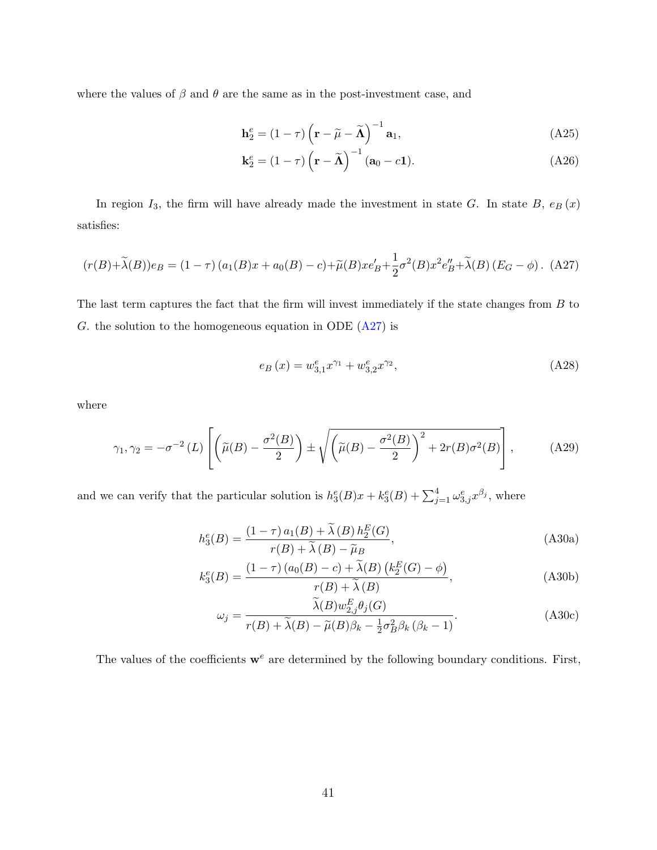where the values of  $\beta$  and  $\theta$  are the same as in the post-investment case, and

$$
\mathbf{h}_2^e = (1 - \tau) \left( \mathbf{r} - \widetilde{\boldsymbol{\mu}} - \widetilde{\boldsymbol{\Lambda}} \right)^{-1} \mathbf{a}_1,
$$
 (A25)

$$
\mathbf{k}_{2}^{e} = (1 - \tau) \left( \mathbf{r} - \widetilde{\mathbf{\Lambda}} \right)^{-1} (\mathbf{a}_{0} - c\mathbf{1}). \tag{A26}
$$

In region  $I_3$ , the firm will have already made the investment in state G. In state B,  $e_B(x)$ satisfies:

<span id="page-41-0"></span>
$$
(r(B) + \tilde{\lambda}(B))e_B = (1 - \tau)(a_1(B)x + a_0(B) - c) + \tilde{\mu}(B)x e'_B + \frac{1}{2}\sigma^2(B)x^2 e''_B + \tilde{\lambda}(B)(E_G - \phi).
$$
 (A27)

The last term captures the fact that the firm will invest immediately if the state changes from  $B$  to G. the solution to the homogeneous equation in ODE  $(A27)$  is

$$
e_B(x) = w_{3,1}^e x^{\gamma_1} + w_{3,2}^e x^{\gamma_2}, \tag{A28}
$$

where

$$
\gamma_1, \gamma_2 = -\sigma^{-2} (L) \left[ \left( \widetilde{\mu}(B) - \frac{\sigma^2(B)}{2} \right) \pm \sqrt{\left( \widetilde{\mu}(B) - \frac{\sigma^2(B)}{2} \right)^2 + 2r(B)\sigma^2(B)} \right], \tag{A29}
$$

and we can verify that the particular solution is  $h_3^e(B)x + k_3^e(B) + \sum_{j=1}^4 \omega_{3,j}^e x^{\beta_j}$ , where

$$
h_3^e(B) = \frac{(1-\tau)a_1(B) + \tilde{\lambda}(B) h_2^E(G)}{r(B) + \tilde{\lambda}(B) - \tilde{\mu}_B},
$$
\n(A30a)

$$
k_3^e(B) = \frac{(1-\tau)(a_0(B) - c) + \tilde{\lambda}(B)\left(k_2^E(G) - \phi\right)}{r(B) + \tilde{\lambda}(B)},
$$
\n(A30b)

$$
r(B) + \lambda(B)
$$

$$
\omega_j = \frac{\tilde{\lambda}(B) w_{2,j}^E \theta_j(G)}{r(B) + \tilde{\lambda}(B) - \tilde{\mu}(B)\beta_k - \frac{1}{2}\sigma_B^2 \beta_k (\beta_k - 1)}.
$$
(A30c)

The values of the coefficients  $\mathbf{w}^e$  are determined by the following boundary conditions. First,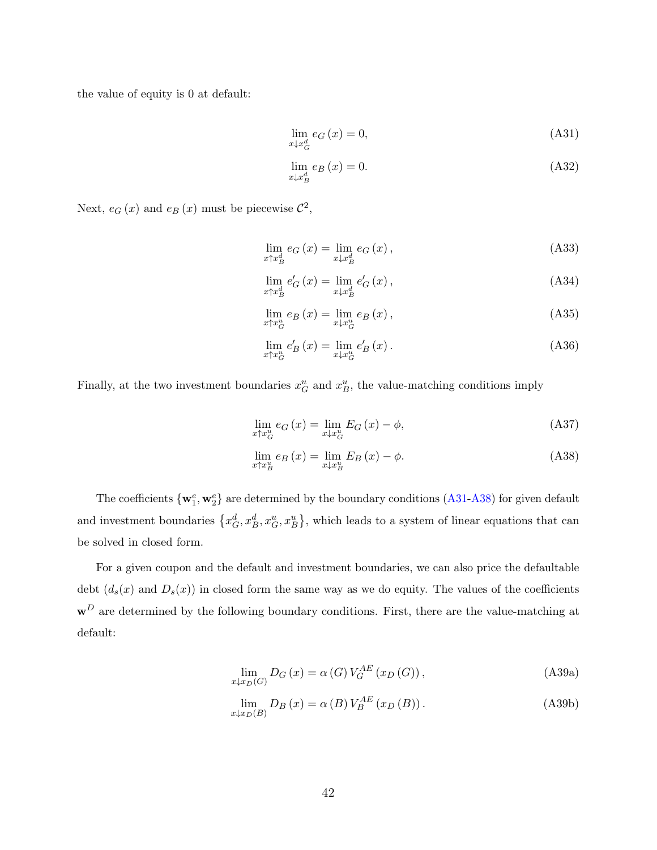the value of equity is 0 at default:

<span id="page-42-0"></span>
$$
\lim_{x \downarrow x_G^d} e_G(x) = 0,\tag{A31}
$$

$$
\lim_{x \downarrow x_B^d} e_B(x) = 0. \tag{A32}
$$

Next,  $e_G(x)$  and  $e_B(x)$  must be piecewise  $\mathcal{C}^2$ ,

$$
\lim_{x \uparrow x_B^d} e_G(x) = \lim_{x \downarrow x_B^d} e_G(x),\tag{A33}
$$

$$
\lim_{x \uparrow x_B^d} e_G'(x) = \lim_{x \downarrow x_B^d} e_G'(x) ,\tag{A34}
$$

$$
\lim_{x \uparrow x_G^u} e_B(x) = \lim_{x \downarrow x_G^u} e_B(x), \tag{A35}
$$

$$
\lim_{x \uparrow x_G^u} e'_B(x) = \lim_{x \downarrow x_G^u} e'_B(x).
$$
\n(A36)

Finally, at the two investment boundaries  $x_G^u$  and  $x_B^u$ , the value-matching conditions imply

$$
\lim_{x \uparrow x_G^u} e_G(x) = \lim_{x \downarrow x_G^u} E_G(x) - \phi,
$$
\n(A37)

<span id="page-42-1"></span>
$$
\lim_{x \uparrow x_B^u} e_B(x) = \lim_{x \downarrow x_B^u} E_B(x) - \phi.
$$
\n(A38)

The coefficients  $\{w_1^e, w_2^e\}$  are determined by the boundary conditions [\(A31-](#page-42-0)[A38\)](#page-42-1) for given default and investment boundaries  $\{x_G^d, x_B^d, x_G^u, x_B^u\}$ , which leads to a system of linear equations that can be solved in closed form.

For a given coupon and the default and investment boundaries, we can also price the defaultable debt  $(d_s(x)$  and  $D_s(x))$  in closed form the same way as we do equity. The values of the coefficients  $\mathbf{w}^D$  are determined by the following boundary conditions. First, there are the value-matching at default:

$$
\lim_{x \downarrow x_D(G)} D_G(x) = \alpha(G) V_G^{AE}(x_D(G)), \tag{A39a}
$$

$$
\lim_{x \downarrow x_D(B)} D_B(x) = \alpha(B) V_B^{AE}(x_D(B)). \tag{A39b}
$$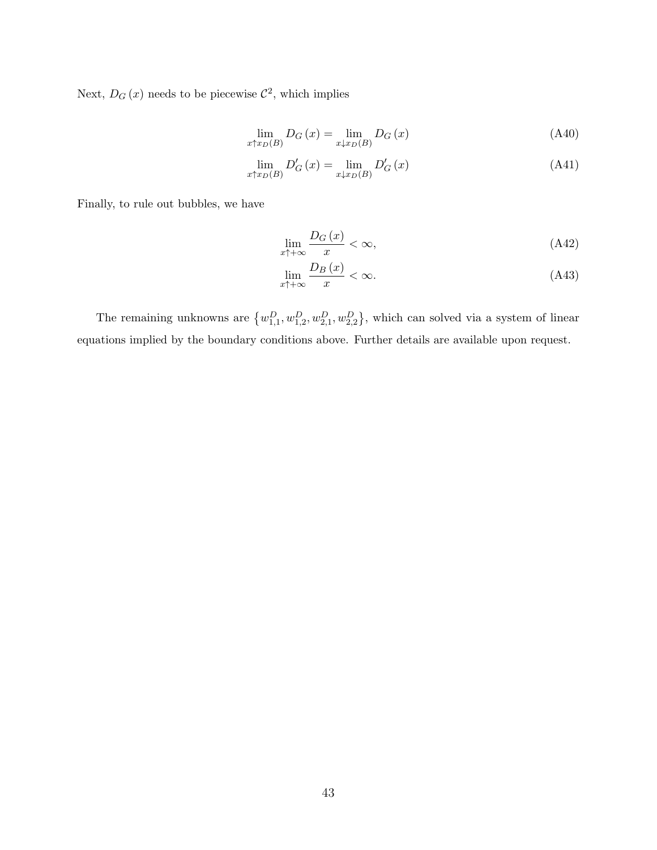Next,  $D_G(x)$  needs to be piecewise  $\mathcal{C}^2$ , which implies

$$
\lim_{x \uparrow x_D(B)} D_G(x) = \lim_{x \downarrow x_D(B)} D_G(x) \tag{A40}
$$

$$
\lim_{x \uparrow x_D(B)} D_G'(x) = \lim_{x \downarrow x_D(B)} D_G'(x) \tag{A41}
$$

Finally, to rule out bubbles, we have

$$
\lim_{x \uparrow +\infty} \frac{D_G(x)}{x} < \infty,\tag{A42}
$$

$$
\lim_{x \uparrow +\infty} \frac{D_B(x)}{x} < \infty. \tag{A43}
$$

The remaining unknowns are  $\{w_{1,1}^D, w_{1,2}^D, w_{2,1}^D, w_{2,2}^D\}$ , which can solved via a system of linear equations implied by the boundary conditions above. Further details are available upon request.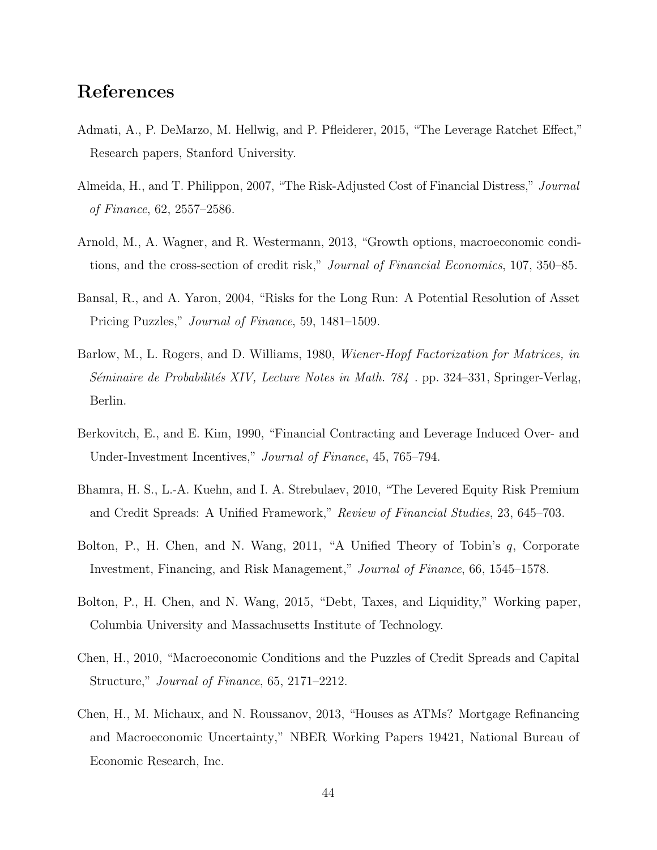## References

- <span id="page-44-7"></span>Admati, A., P. DeMarzo, M. Hellwig, and P. Pfleiderer, 2015, "The Leverage Ratchet Effect," Research papers, Stanford University.
- <span id="page-44-1"></span>Almeida, H., and T. Philippon, 2007, "The Risk-Adjusted Cost of Financial Distress," Journal of Finance, 62, 2557–2586.
- <span id="page-44-4"></span>Arnold, M., A. Wagner, and R. Westermann, 2013, "Growth options, macroeconomic conditions, and the cross-section of credit risk," Journal of Financial Economics, 107, 350–85.
- <span id="page-44-6"></span>Bansal, R., and A. Yaron, 2004, "Risks for the Long Run: A Potential Resolution of Asset Pricing Puzzles," Journal of Finance, 59, 1481–1509.
- <span id="page-44-10"></span>Barlow, M., L. Rogers, and D. Williams, 1980, Wiener-Hopf Factorization for Matrices, in Séminaire de Probabilités XIV, Lecture Notes in Math. 784 . pp. 324–331, Springer-Verlag, Berlin.
- <span id="page-44-0"></span>Berkovitch, E., and E. Kim, 1990, "Financial Contracting and Leverage Induced Over- and Under-Investment Incentives," Journal of Finance, 45, 765–794.
- <span id="page-44-2"></span>Bhamra, H. S., L.-A. Kuehn, and I. A. Strebulaev, 2010, "The Levered Equity Risk Premium and Credit Spreads: A Unified Framework," Review of Financial Studies, 23, 645–703.
- <span id="page-44-8"></span>Bolton, P., H. Chen, and N. Wang, 2011, "A Unified Theory of Tobin's q, Corporate Investment, Financing, and Risk Management," Journal of Finance, 66, 1545–1578.
- <span id="page-44-9"></span>Bolton, P., H. Chen, and N. Wang, 2015, "Debt, Taxes, and Liquidity," Working paper, Columbia University and Massachusetts Institute of Technology.
- <span id="page-44-3"></span>Chen, H., 2010, "Macroeconomic Conditions and the Puzzles of Credit Spreads and Capital Structure," Journal of Finance, 65, 2171–2212.
- <span id="page-44-5"></span>Chen, H., M. Michaux, and N. Roussanov, 2013, "Houses as ATMs? Mortgage Refinancing and Macroeconomic Uncertainty," NBER Working Papers 19421, National Bureau of Economic Research, Inc.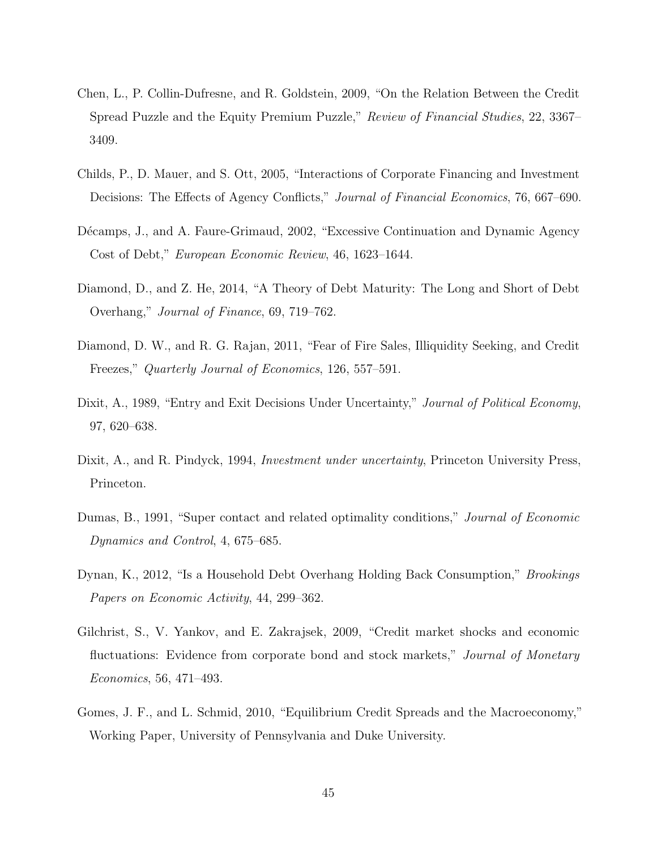- <span id="page-45-10"></span>Chen, L., P. Collin-Dufresne, and R. Goldstein, 2009, "On the Relation Between the Credit Spread Puzzle and the Equity Premium Puzzle," Review of Financial Studies, 22, 3367– 3409.
- <span id="page-45-3"></span>Childs, P., D. Mauer, and S. Ott, 2005, "Interactions of Corporate Financing and Investment Decisions: The Effects of Agency Conflicts," Journal of Financial Economics, 76, 667–690.
- <span id="page-45-2"></span>Décamps, J., and A. Faure-Grimaud, 2002, "Excessive Continuation and Dynamic Agency Cost of Debt," European Economic Review, 46, 1623–1644.
- <span id="page-45-0"></span>Diamond, D., and Z. He, 2014, "A Theory of Debt Maturity: The Long and Short of Debt Overhang," Journal of Finance, 69, 719–762.
- <span id="page-45-1"></span>Diamond, D. W., and R. G. Rajan, 2011, "Fear of Fire Sales, Illiquidity Seeking, and Credit Freezes," Quarterly Journal of Economics, 126, 557–591.
- <span id="page-45-4"></span>Dixit, A., 1989, "Entry and Exit Decisions Under Uncertainty," Journal of Political Economy, 97, 620–638.
- <span id="page-45-5"></span>Dixit, A., and R. Pindyck, 1994, Investment under uncertainty, Princeton University Press, Princeton.
- <span id="page-45-9"></span>Dumas, B., 1991, "Super contact and related optimality conditions," *Journal of Economic* Dynamics and Control, 4, 675–685.
- <span id="page-45-8"></span>Dynan, K., 2012, "Is a Household Debt Overhang Holding Back Consumption," Brookings Papers on Economic Activity, 44, 299–362.
- <span id="page-45-7"></span>Gilchrist, S., V. Yankov, and E. Zakrajsek, 2009, "Credit market shocks and economic fluctuations: Evidence from corporate bond and stock markets," Journal of Monetary Economics, 56, 471–493.
- <span id="page-45-6"></span>Gomes, J. F., and L. Schmid, 2010, "Equilibrium Credit Spreads and the Macroeconomy," Working Paper, University of Pennsylvania and Duke University.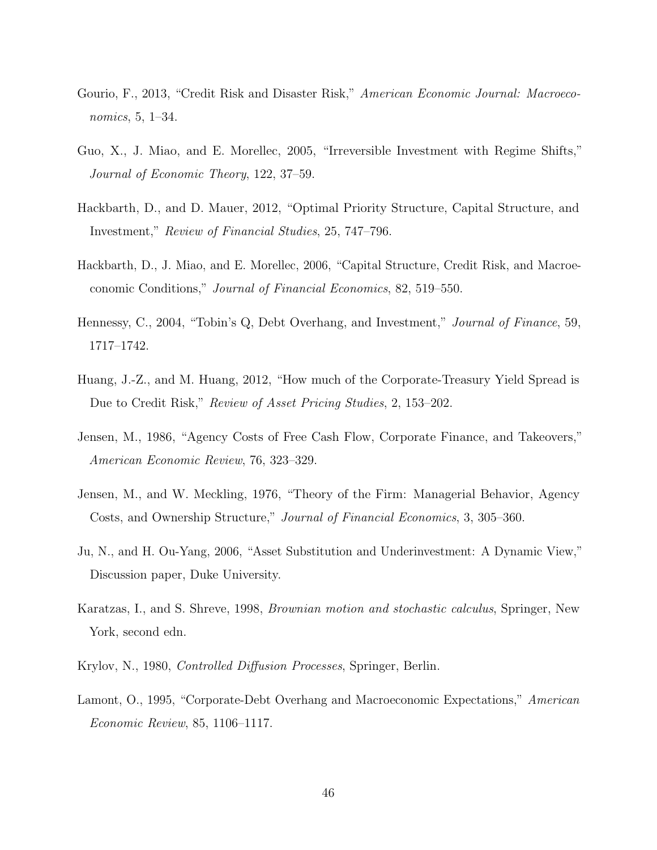- <span id="page-46-6"></span>Gourio, F., 2013, "Credit Risk and Disaster Risk," American Economic Journal: Macroeconomics, 5, 1–34.
- <span id="page-46-5"></span>Guo, X., J. Miao, and E. Morellec, 2005, "Irreversible Investment with Regime Shifts," Journal of Economic Theory, 122, 37–59.
- <span id="page-46-0"></span>Hackbarth, D., and D. Mauer, 2012, "Optimal Priority Structure, Capital Structure, and Investment," Review of Financial Studies, 25, 747–796.
- <span id="page-46-1"></span>Hackbarth, D., J. Miao, and E. Morellec, 2006, "Capital Structure, Credit Risk, and Macroeconomic Conditions," Journal of Financial Economics, 82, 519–550.
- <span id="page-46-3"></span>Hennessy, C., 2004, "Tobin's Q, Debt Overhang, and Investment," Journal of Finance, 59, 1717–1742.
- <span id="page-46-9"></span>Huang, J.-Z., and M. Huang, 2012, "How much of the Corporate-Treasury Yield Spread is Due to Credit Risk," Review of Asset Pricing Studies, 2, 153–202.
- <span id="page-46-10"></span>Jensen, M., 1986, "Agency Costs of Free Cash Flow, Corporate Finance, and Takeovers," American Economic Review, 76, 323–329.
- <span id="page-46-8"></span>Jensen, M., and W. Meckling, 1976, "Theory of the Firm: Managerial Behavior, Agency Costs, and Ownership Structure," Journal of Financial Economics, 3, 305–360.
- <span id="page-46-4"></span>Ju, N., and H. Ou-Yang, 2006, "Asset Substitution and Underinvestment: A Dynamic View," Discussion paper, Duke University.
- <span id="page-46-11"></span>Karatzas, I., and S. Shreve, 1998, Brownian motion and stochastic calculus, Springer, New York, second edn.
- <span id="page-46-7"></span>Krylov, N., 1980, Controlled Diffusion Processes, Springer, Berlin.
- <span id="page-46-2"></span>Lamont, O., 1995, "Corporate-Debt Overhang and Macroeconomic Expectations," American Economic Review, 85, 1106–1117.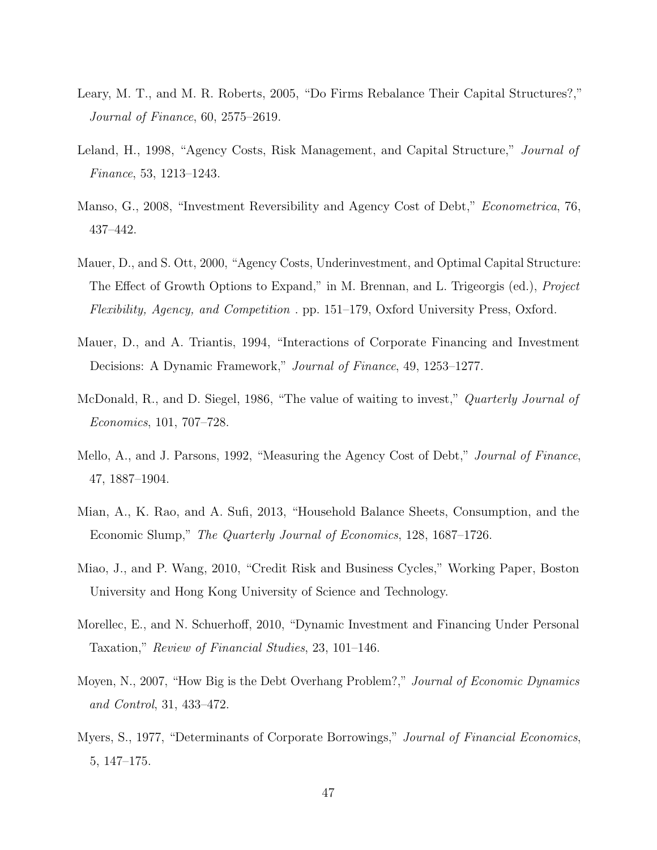- <span id="page-47-11"></span>Leary, M. T., and M. R. Roberts, 2005, "Do Firms Rebalance Their Capital Structures?," Journal of Finance, 60, 2575–2619.
- <span id="page-47-3"></span>Leland, H., 1998, "Agency Costs, Risk Management, and Capital Structure," *Journal of* Finance, 53, 1213–1243.
- <span id="page-47-6"></span>Manso, G., 2008, "Investment Reversibility and Agency Cost of Debt," *Econometrica*, 76, 437–442.
- <span id="page-47-4"></span>Mauer, D., and S. Ott, 2000, "Agency Costs, Underinvestment, and Optimal Capital Structure: The Effect of Growth Options to Expand," in M. Brennan, and L. Trigeorgis (ed.), Project Flexibility, Agency, and Competition . pp. 151–179, Oxford University Press, Oxford.
- <span id="page-47-2"></span>Mauer, D., and A. Triantis, 1994, "Interactions of Corporate Financing and Investment Decisions: A Dynamic Framework," Journal of Finance, 49, 1253–1277.
- <span id="page-47-8"></span>McDonald, R., and D. Siegel, 1986, "The value of waiting to invest," *Quarterly Journal of* Economics, 101, 707–728.
- <span id="page-47-1"></span>Mello, A., and J. Parsons, 1992, "Measuring the Agency Cost of Debt," Journal of Finance, 47, 1887–1904.
- <span id="page-47-10"></span>Mian, A., K. Rao, and A. Sufi, 2013, "Household Balance Sheets, Consumption, and the Economic Slump," The Quarterly Journal of Economics, 128, 1687–1726.
- <span id="page-47-9"></span>Miao, J., and P. Wang, 2010, "Credit Risk and Business Cycles," Working Paper, Boston University and Hong Kong University of Science and Technology.
- <span id="page-47-7"></span>Morellec, E., and N. Schuerhoff, 2010, "Dynamic Investment and Financing Under Personal Taxation," Review of Financial Studies, 23, 101–146.
- <span id="page-47-5"></span>Moyen, N., 2007, "How Big is the Debt Overhang Problem?," Journal of Economic Dynamics and Control, 31, 433–472.
- <span id="page-47-0"></span>Myers, S., 1977, "Determinants of Corporate Borrowings," Journal of Financial Economics, 5, 147–175.